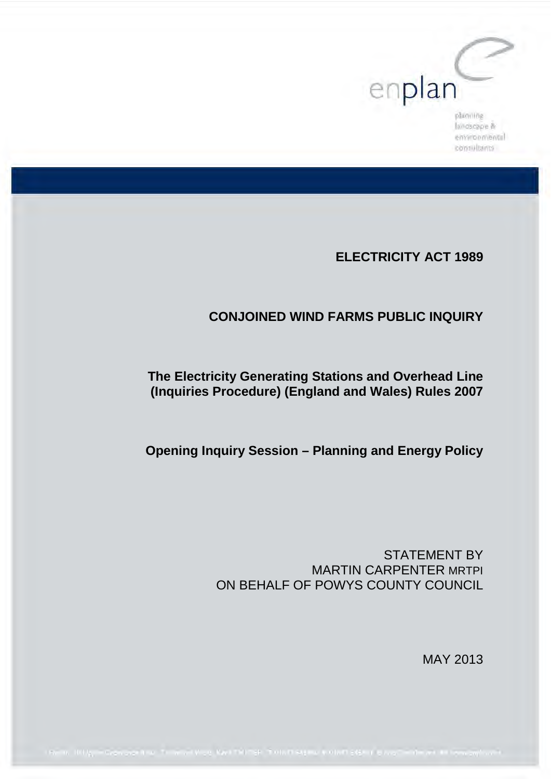

landscape & environmental consultants

# **ELECTRICITY ACT 1989**

# **CONJOINED WIND FARMS PUBLIC INQUIRY**

# **The Electricity Generating Stations and Overhead Line (Inquiries Procedure) (England and Wales) Rules 2007**

**Opening Inquiry Session – Planning and Energy Policy**

STATEMENT BY MARTIN CARPENTER MRTPI ON BEHALF OF POWYS COUNTY COUNCIL

MAY 2013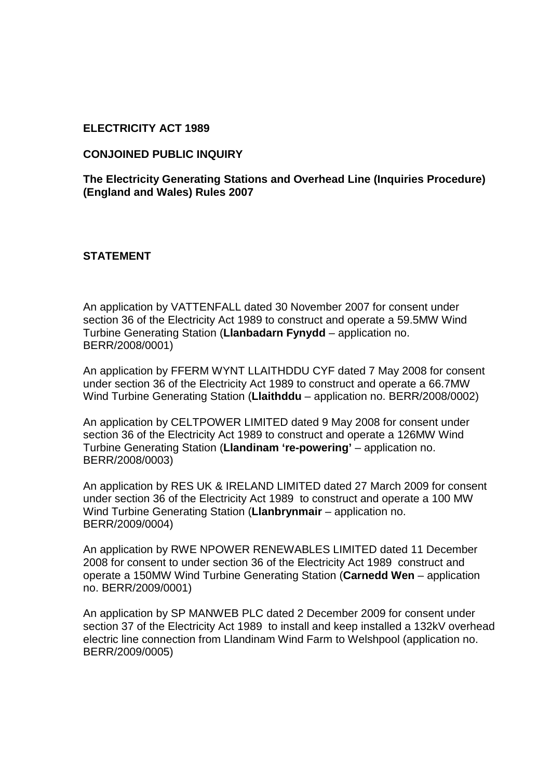#### **ELECTRICITY ACT 1989**

#### **CONJOINED PUBLIC INQUIRY**

**The Electricity Generating Stations and Overhead Line (Inquiries Procedure) (England and Wales) Rules 2007** 

#### **STATEMENT**

An application by VATTENFALL dated 30 November 2007 for consent under section 36 of the Electricity Act 1989 to construct and operate a 59.5MW Wind Turbine Generating Station (**Llanbadarn Fynydd** – application no. BERR/2008/0001)

An application by FFERM WYNT LLAITHDDU CYF dated 7 May 2008 for consent under section 36 of the Electricity Act 1989 to construct and operate a 66.7MW Wind Turbine Generating Station (**Llaithddu** – application no. BERR/2008/0002)

An application by CELTPOWER LIMITED dated 9 May 2008 for consent under section 36 of the Electricity Act 1989 to construct and operate a 126MW Wind Turbine Generating Station (**Llandinam 're-powering'** – application no. BERR/2008/0003)

An application by RES UK & IRELAND LIMITED dated 27 March 2009 for consent under section 36 of the Electricity Act 1989 to construct and operate a 100 MW Wind Turbine Generating Station (**Llanbrynmair** – application no. BERR/2009/0004)

An application by RWE NPOWER RENEWABLES LIMITED dated 11 December 2008 for consent to under section 36 of the Electricity Act 1989 construct and operate a 150MW Wind Turbine Generating Station (**Carnedd Wen** – application no. BERR/2009/0001)

An application by SP MANWEB PLC dated 2 December 2009 for consent under section 37 of the Electricity Act 1989 to install and keep installed a 132kV overhead electric line connection from Llandinam Wind Farm to Welshpool (application no. BERR/2009/0005)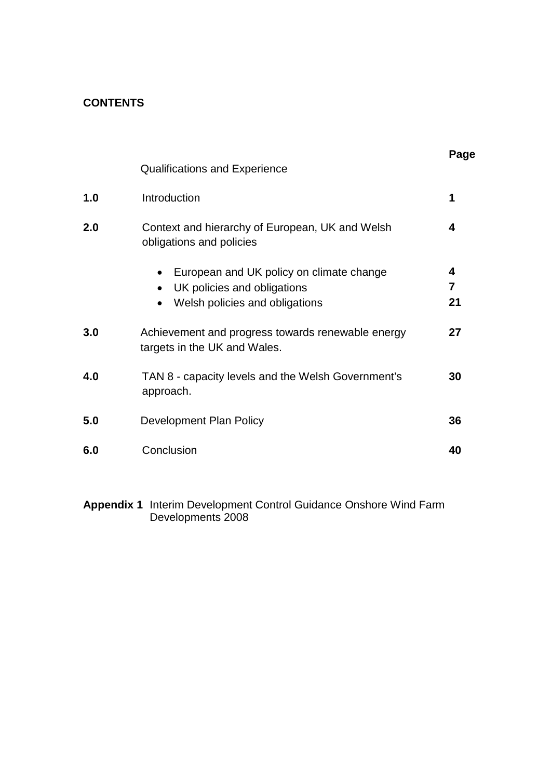# **CONTENTS**

|     |                                                                                                                        | Page         |
|-----|------------------------------------------------------------------------------------------------------------------------|--------------|
|     | <b>Qualifications and Experience</b>                                                                                   |              |
| 1.0 | Introduction                                                                                                           | 1            |
| 2.0 | Context and hierarchy of European, UK and Welsh<br>obligations and policies                                            | 4            |
|     | European and UK policy on climate change<br>$\bullet$<br>UK policies and obligations<br>Welsh policies and obligations | 4<br>7<br>21 |
| 3.0 | Achievement and progress towards renewable energy<br>targets in the UK and Wales.                                      | 27           |
| 4.0 | TAN 8 - capacity levels and the Welsh Government's<br>approach.                                                        | 30           |
| 5.0 | Development Plan Policy                                                                                                | 36           |
| 6.0 | Conclusion                                                                                                             | 40           |

**Appendix 1** Interim Development Control Guidance Onshore Wind Farm Developments 2008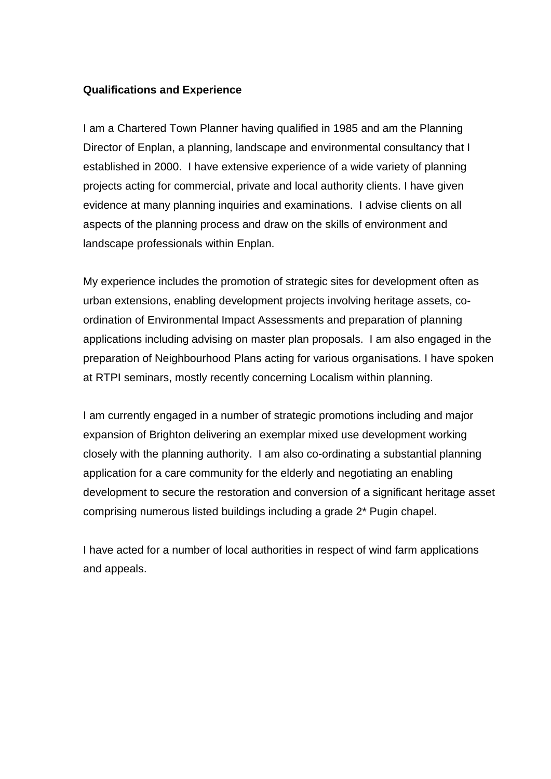#### **Qualifications and Experience**

I am a Chartered Town Planner having qualified in 1985 and am the Planning Director of Enplan, a planning, landscape and environmental consultancy that I established in 2000. I have extensive experience of a wide variety of planning projects acting for commercial, private and local authority clients. I have given evidence at many planning inquiries and examinations. I advise clients on all aspects of the planning process and draw on the skills of environment and landscape professionals within Enplan.

My experience includes the promotion of strategic sites for development often as urban extensions, enabling development projects involving heritage assets, coordination of Environmental Impact Assessments and preparation of planning applications including advising on master plan proposals. I am also engaged in the preparation of Neighbourhood Plans acting for various organisations. I have spoken at RTPI seminars, mostly recently concerning Localism within planning.

I am currently engaged in a number of strategic promotions including and major expansion of Brighton delivering an exemplar mixed use development working closely with the planning authority. I am also co-ordinating a substantial planning application for a care community for the elderly and negotiating an enabling development to secure the restoration and conversion of a significant heritage asset comprising numerous listed buildings including a grade 2\* Pugin chapel.

I have acted for a number of local authorities in respect of wind farm applications and appeals.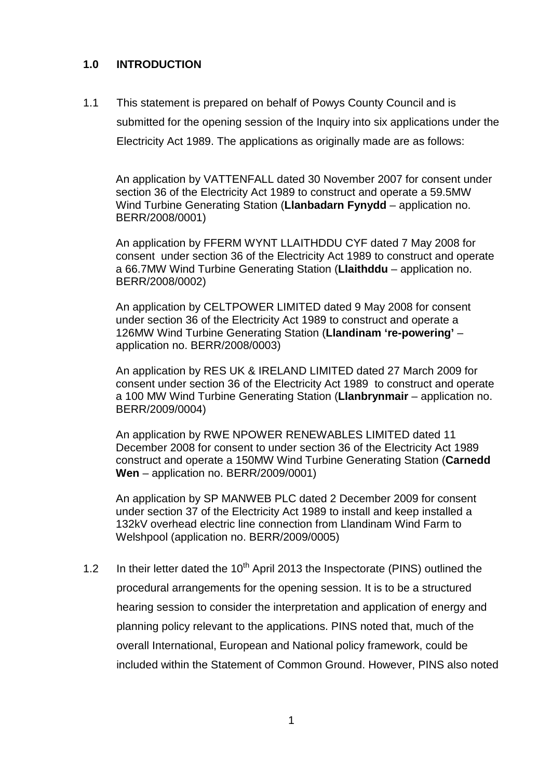# **1.0 INTRODUCTION**

1.1 This statement is prepared on behalf of Powys County Council and is submitted for the opening session of the Inquiry into six applications under the Electricity Act 1989. The applications as originally made are as follows:

An application by VATTENFALL dated 30 November 2007 for consent under section 36 of the Electricity Act 1989 to construct and operate a 59.5MW Wind Turbine Generating Station (**Llanbadarn Fynydd** – application no. BERR/2008/0001)

An application by FFERM WYNT LLAITHDDU CYF dated 7 May 2008 for consent under section 36 of the Electricity Act 1989 to construct and operate a 66.7MW Wind Turbine Generating Station (**Llaithddu** – application no. BERR/2008/0002)

An application by CELTPOWER LIMITED dated 9 May 2008 for consent under section 36 of the Electricity Act 1989 to construct and operate a 126MW Wind Turbine Generating Station (**Llandinam 're-powering'** – application no. BERR/2008/0003)

An application by RES UK & IRELAND LIMITED dated 27 March 2009 for consent under section 36 of the Electricity Act 1989 to construct and operate a 100 MW Wind Turbine Generating Station (**Llanbrynmair** – application no. BERR/2009/0004)

An application by RWE NPOWER RENEWABLES LIMITED dated 11 December 2008 for consent to under section 36 of the Electricity Act 1989 construct and operate a 150MW Wind Turbine Generating Station (**Carnedd Wen** – application no. BERR/2009/0001)

An application by SP MANWEB PLC dated 2 December 2009 for consent under section 37 of the Electricity Act 1989 to install and keep installed a 132kV overhead electric line connection from Llandinam Wind Farm to Welshpool (application no. BERR/2009/0005)

1.2 In their letter dated the  $10<sup>th</sup>$  April 2013 the Inspectorate (PINS) outlined the procedural arrangements for the opening session. It is to be a structured hearing session to consider the interpretation and application of energy and planning policy relevant to the applications. PINS noted that, much of the overall International, European and National policy framework, could be included within the Statement of Common Ground. However, PINS also noted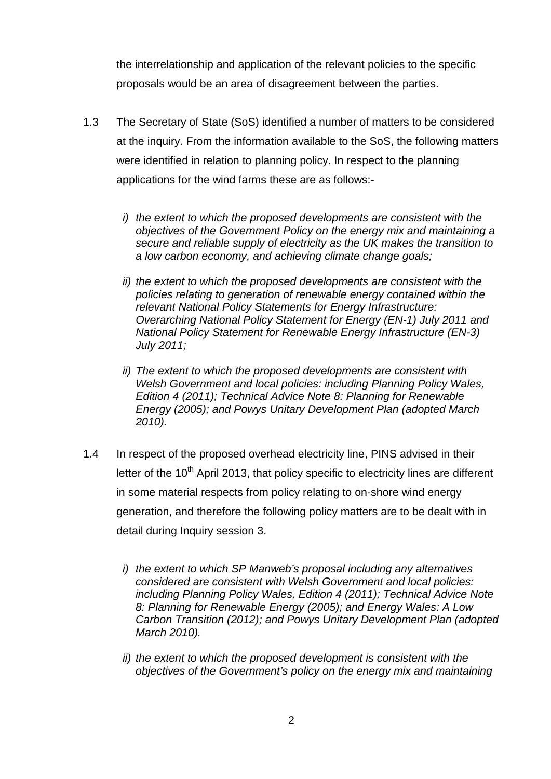the interrelationship and application of the relevant policies to the specific proposals would be an area of disagreement between the parties.

- 1.3 The Secretary of State (SoS) identified a number of matters to be considered at the inquiry. From the information available to the SoS, the following matters were identified in relation to planning policy. In respect to the planning applications for the wind farms these are as follows:
	- *i) the extent to which the proposed developments are consistent with the objectives of the Government Policy on the energy mix and maintaining a secure and reliable supply of electricity as the UK makes the transition to a low carbon economy, and achieving climate change goals;*
	- *ii) the extent to which the proposed developments are consistent with the policies relating to generation of renewable energy contained within the relevant National Policy Statements for Energy Infrastructure: Overarching National Policy Statement for Energy (EN-1) July 2011 and National Policy Statement for Renewable Energy Infrastructure (EN-3) July 2011;*
	- *ii) The extent to which the proposed developments are consistent with Welsh Government and local policies: including Planning Policy Wales, Edition 4 (2011); Technical Advice Note 8: Planning for Renewable Energy (2005); and Powys Unitary Development Plan (adopted March 2010).*
- 1.4 In respect of the proposed overhead electricity line, PINS advised in their letter of the  $10<sup>th</sup>$  April 2013, that policy specific to electricity lines are different in some material respects from policy relating to on-shore wind energy generation, and therefore the following policy matters are to be dealt with in detail during Inquiry session 3.
	- *i) the extent to which SP Manweb's proposal including any alternatives considered are consistent with Welsh Government and local policies: including Planning Policy Wales, Edition 4 (2011); Technical Advice Note 8: Planning for Renewable Energy (2005); and Energy Wales: A Low Carbon Transition (2012); and Powys Unitary Development Plan (adopted March 2010).*
	- *ii) the extent to which the proposed development is consistent with the objectives of the Government's policy on the energy mix and maintaining*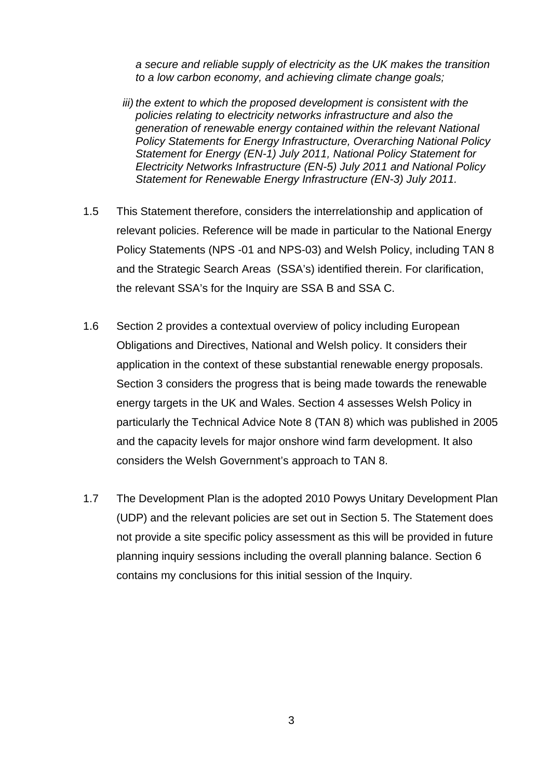*a secure and reliable supply of electricity as the UK makes the transition to a low carbon economy, and achieving climate change goals;*

- *iii) the extent to which the proposed development is consistent with the policies relating to electricity networks infrastructure and also the generation of renewable energy contained within the relevant National Policy Statements for Energy Infrastructure, Overarching National Policy Statement for Energy (EN-1) July 2011, National Policy Statement for Electricity Networks Infrastructure (EN-5) July 2011 and National Policy Statement for Renewable Energy Infrastructure (EN-3) July 2011.*
- 1.5 This Statement therefore, considers the interrelationship and application of relevant policies. Reference will be made in particular to the National Energy Policy Statements (NPS -01 and NPS-03) and Welsh Policy, including TAN 8 and the Strategic Search Areas (SSA's) identified therein. For clarification, the relevant SSA's for the Inquiry are SSA B and SSA C.
- 1.6 Section 2 provides a contextual overview of policy including European Obligations and Directives, National and Welsh policy. It considers their application in the context of these substantial renewable energy proposals. Section 3 considers the progress that is being made towards the renewable energy targets in the UK and Wales. Section 4 assesses Welsh Policy in particularly the Technical Advice Note 8 (TAN 8) which was published in 2005 and the capacity levels for major onshore wind farm development. It also considers the Welsh Government's approach to TAN 8.
- 1.7 The Development Plan is the adopted 2010 Powys Unitary Development Plan (UDP) and the relevant policies are set out in Section 5. The Statement does not provide a site specific policy assessment as this will be provided in future planning inquiry sessions including the overall planning balance. Section 6 contains my conclusions for this initial session of the Inquiry.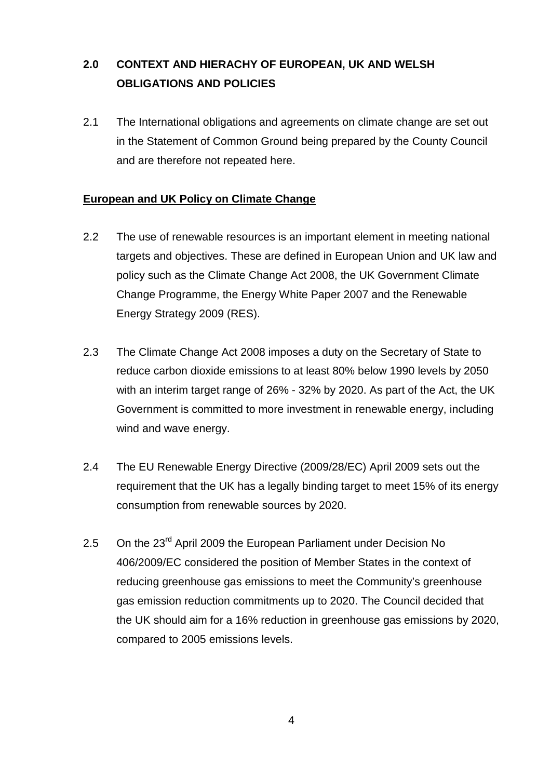# **2.0 CONTEXT AND HIERACHY OF EUROPEAN, UK AND WELSH OBLIGATIONS AND POLICIES**

2.1 The International obligations and agreements on climate change are set out in the Statement of Common Ground being prepared by the County Council and are therefore not repeated here.

# **European and UK Policy on Climate Change**

- 2.2 The use of renewable resources is an important element in meeting national targets and objectives. These are defined in European Union and UK law and policy such as the Climate Change Act 2008, the UK Government Climate Change Programme, the Energy White Paper 2007 and the Renewable Energy Strategy 2009 (RES).
- 2.3 The Climate Change Act 2008 imposes a duty on the Secretary of State to reduce carbon dioxide emissions to at least 80% below 1990 levels by 2050 with an interim target range of 26% - 32% by 2020. As part of the Act, the UK Government is committed to more investment in renewable energy, including wind and wave energy.
- 2.4 The EU Renewable Energy Directive (2009/28/EC) April 2009 sets out the requirement that the UK has a legally binding target to meet 15% of its energy consumption from renewable sources by 2020.
- 2.5 On the 23<sup>rd</sup> April 2009 the European Parliament under Decision No 406/2009/EC considered the position of Member States in the context of reducing greenhouse gas emissions to meet the Community's greenhouse gas emission reduction commitments up to 2020. The Council decided that the UK should aim for a 16% reduction in greenhouse gas emissions by 2020, compared to 2005 emissions levels.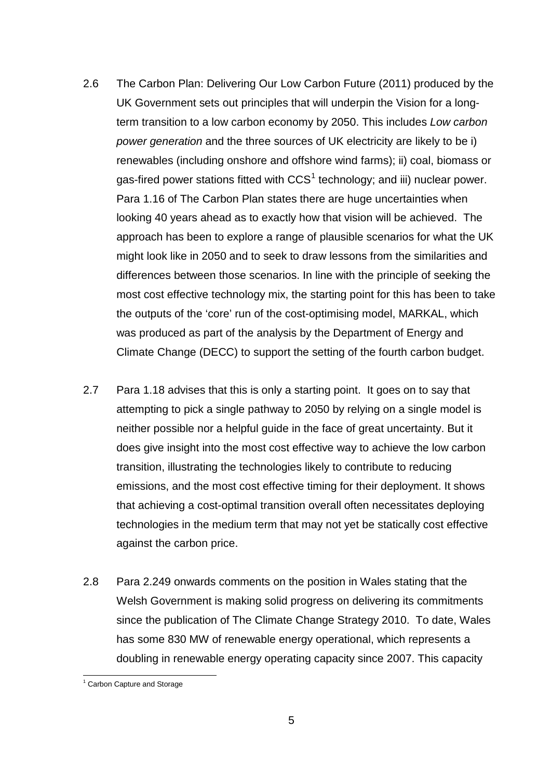- 2.6 The Carbon Plan: Delivering Our Low Carbon Future (2011) produced by the UK Government sets out principles that will underpin the Vision for a longterm transition to a low carbon economy by 2050. This includes *Low carbon power generation* and the three sources of UK electricity are likely to be i) renewables (including onshore and offshore wind farms); ii) coal, biomass or gas-fired power stations fitted with  $CCS<sup>1</sup>$  $CCS<sup>1</sup>$  $CCS<sup>1</sup>$  technology; and iii) nuclear power. Para 1.16 of The Carbon Plan states there are huge uncertainties when looking 40 years ahead as to exactly how that vision will be achieved. The approach has been to explore a range of plausible scenarios for what the UK might look like in 2050 and to seek to draw lessons from the similarities and differences between those scenarios. In line with the principle of seeking the most cost effective technology mix, the starting point for this has been to take the outputs of the 'core' run of the cost-optimising model, MARKAL, which was produced as part of the analysis by the Department of Energy and Climate Change (DECC) to support the setting of the fourth carbon budget.
- 2.7 Para 1.18 advises that this is only a starting point. It goes on to say that attempting to pick a single pathway to 2050 by relying on a single model is neither possible nor a helpful guide in the face of great uncertainty. But it does give insight into the most cost effective way to achieve the low carbon transition, illustrating the technologies likely to contribute to reducing emissions, and the most cost effective timing for their deployment. It shows that achieving a cost-optimal transition overall often necessitates deploying technologies in the medium term that may not yet be statically cost effective against the carbon price.
- 2.8 Para 2.249 onwards comments on the position in Wales stating that the Welsh Government is making solid progress on delivering its commitments since the publication of The Climate Change Strategy 2010. To date, Wales has some 830 MW of renewable energy operational, which represents a doubling in renewable energy operating capacity since 2007. This capacity

<span id="page-8-0"></span> <sup>1</sup> Carbon Capture and Storage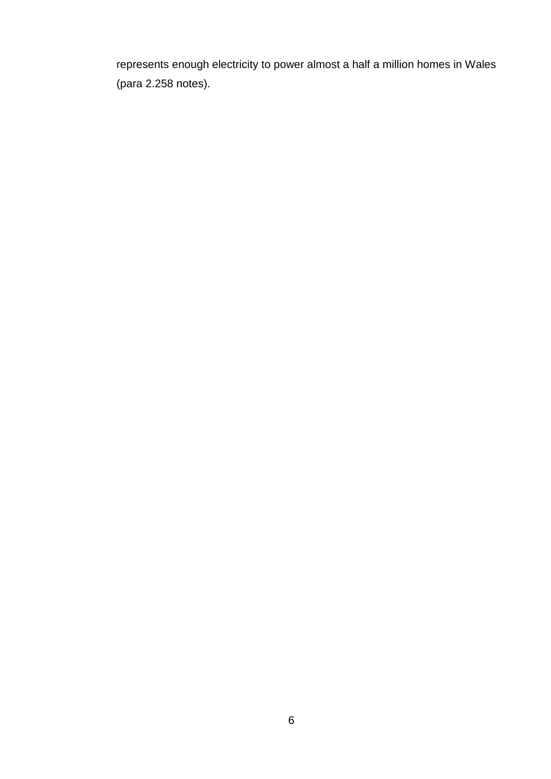represents enough electricity to power almost a half a million homes in Wales (para 2.258 notes).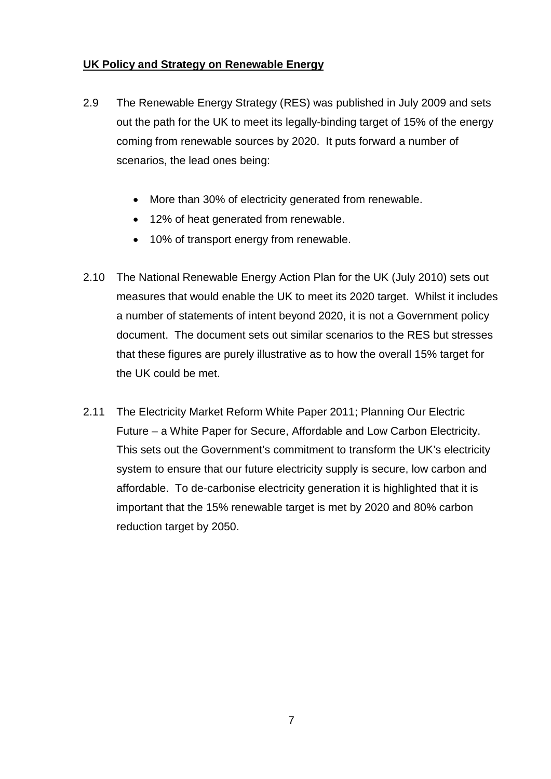# **UK Policy and Strategy on Renewable Energy**

- 2.9 The Renewable Energy Strategy (RES) was published in July 2009 and sets out the path for the UK to meet its legally-binding target of 15% of the energy coming from renewable sources by 2020. It puts forward a number of scenarios, the lead ones being:
	- More than 30% of electricity generated from renewable.
	- 12% of heat generated from renewable.
	- 10% of transport energy from renewable.
- 2.10 The National Renewable Energy Action Plan for the UK (July 2010) sets out measures that would enable the UK to meet its 2020 target. Whilst it includes a number of statements of intent beyond 2020, it is not a Government policy document. The document sets out similar scenarios to the RES but stresses that these figures are purely illustrative as to how the overall 15% target for the UK could be met.
- 2.11 The Electricity Market Reform White Paper 2011; Planning Our Electric Future – a White Paper for Secure, Affordable and Low Carbon Electricity. This sets out the Government's commitment to transform the UK's electricity system to ensure that our future electricity supply is secure, low carbon and affordable. To de-carbonise electricity generation it is highlighted that it is important that the 15% renewable target is met by 2020 and 80% carbon reduction target by 2050.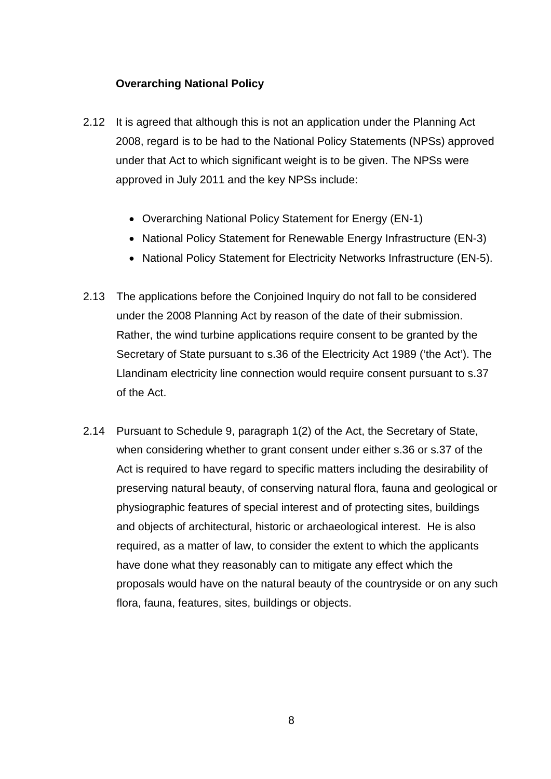# **Overarching National Policy**

- 2.12 It is agreed that although this is not an application under the Planning Act 2008, regard is to be had to the National Policy Statements (NPSs) approved under that Act to which significant weight is to be given. The NPSs were approved in July 2011 and the key NPSs include:
	- Overarching National Policy Statement for Energy (EN-1)
	- National Policy Statement for Renewable Energy Infrastructure (EN-3)
	- National Policy Statement for Electricity Networks Infrastructure (EN-5).
- 2.13 The applications before the Conjoined Inquiry do not fall to be considered under the 2008 Planning Act by reason of the date of their submission. Rather, the wind turbine applications require consent to be granted by the Secretary of State pursuant to s.36 of the Electricity Act 1989 ('the Act'). The Llandinam electricity line connection would require consent pursuant to s.37 of the Act.
- 2.14 Pursuant to Schedule 9, paragraph 1(2) of the Act, the Secretary of State, when considering whether to grant consent under either s.36 or s.37 of the Act is required to have regard to specific matters including the desirability of preserving natural beauty, of conserving natural flora, fauna and geological or physiographic features of special interest and of protecting sites, buildings and objects of architectural, historic or archaeological interest. He is also required, as a matter of law, to consider the extent to which the applicants have done what they reasonably can to mitigate any effect which the proposals would have on the natural beauty of the countryside or on any such flora, fauna, features, sites, buildings or objects.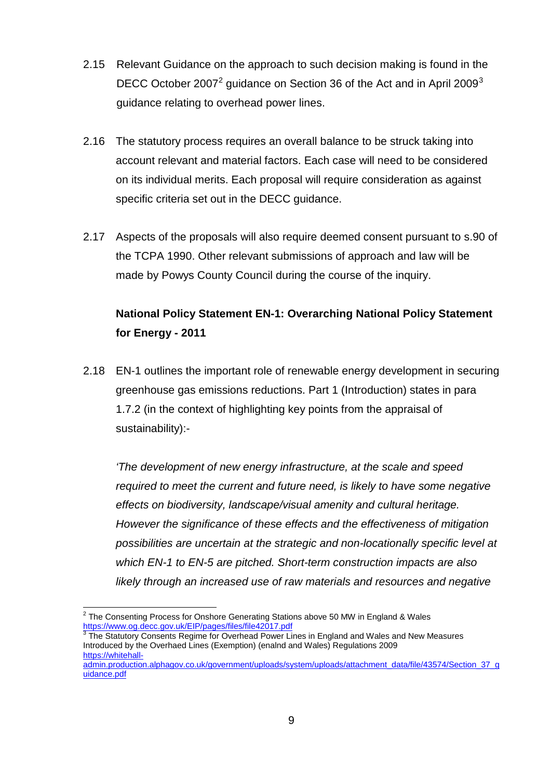- 2.15 Relevant Guidance on the approach to such decision making is found in the DECC October [2](#page-12-0)007<sup>2</sup> guidance on Section [3](#page-12-1)6 of the Act and in April 2009<sup>3</sup> guidance relating to overhead power lines.
- 2.16 The statutory process requires an overall balance to be struck taking into account relevant and material factors. Each case will need to be considered on its individual merits. Each proposal will require consideration as against specific criteria set out in the DECC guidance.
- 2.17 Aspects of the proposals will also require deemed consent pursuant to s.90 of the TCPA 1990. Other relevant submissions of approach and law will be made by Powys County Council during the course of the inquiry.

# **National Policy Statement EN-1: Overarching National Policy Statement for Energy - 2011**

2.18 EN-1 outlines the important role of renewable energy development in securing greenhouse gas emissions reductions. Part 1 (Introduction) states in para 1.7.2 (in the context of highlighting key points from the appraisal of sustainability):-

*'The development of new energy infrastructure, at the scale and speed required to meet the current and future need, is likely to have some negative effects on biodiversity, landscape/visual amenity and cultural heritage. However the significance of these effects and the effectiveness of mitigation possibilities are uncertain at the strategic and non-locationally specific level at which EN-1 to EN-5 are pitched. Short-term construction impacts are also likely through an increased use of raw materials and resources and negative* 

<span id="page-12-0"></span><sup>&</sup>lt;sup>2</sup> The Consenting Process for Onshore Generating Stations above 50 MW in England & Wales <https://www.og.decc.gov.uk/EIP/pages/files/file42017.pdf>

<span id="page-12-1"></span><sup>3</sup> The Statutory Consents Regime for Overhead Power Lines in England and Wales and New Measures Introduced by the Overhaed Lines (Exemption) (enalnd and Wales) Regulations 2009 [https://whitehall-](https://whitehall-admin.production.alphagov.co.uk/government/uploads/system/uploads/attachment_data/file/43574/Section_37_guidance.pdf)

[admin.production.alphagov.co.uk/government/uploads/system/uploads/attachment\\_data/file/43574/Section\\_37\\_g](https://whitehall-admin.production.alphagov.co.uk/government/uploads/system/uploads/attachment_data/file/43574/Section_37_guidance.pdf) [uidance.pdf](https://whitehall-admin.production.alphagov.co.uk/government/uploads/system/uploads/attachment_data/file/43574/Section_37_guidance.pdf)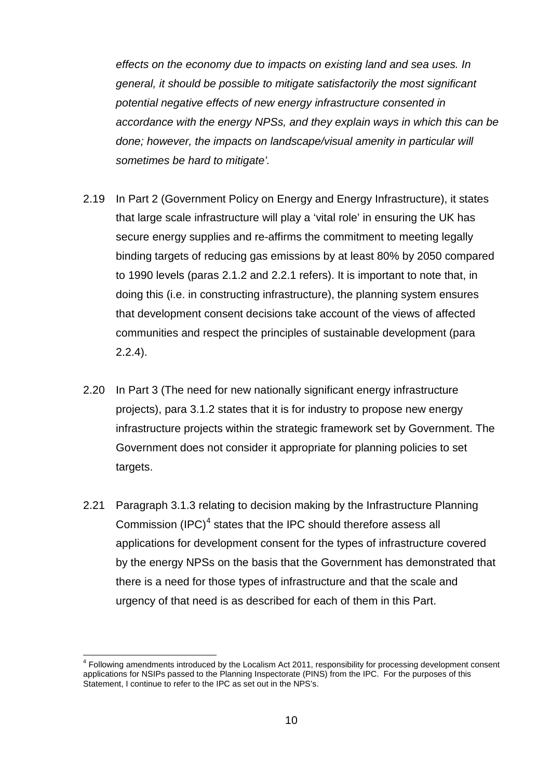*effects on the economy due to impacts on existing land and sea uses. In general, it should be possible to mitigate satisfactorily the most significant potential negative effects of new energy infrastructure consented in accordance with the energy NPSs, and they explain ways in which this can be done; however, the impacts on landscape/visual amenity in particular will sometimes be hard to mitigate'.*

- 2.19 In Part 2 (Government Policy on Energy and Energy Infrastructure), it states that large scale infrastructure will play a 'vital role' in ensuring the UK has secure energy supplies and re-affirms the commitment to meeting legally binding targets of reducing gas emissions by at least 80% by 2050 compared to 1990 levels (paras 2.1.2 and 2.2.1 refers). It is important to note that, in doing this (i.e. in constructing infrastructure), the planning system ensures that development consent decisions take account of the views of affected communities and respect the principles of sustainable development (para 2.2.4).
- 2.20 In Part 3 (The need for new nationally significant energy infrastructure projects), para 3.1.2 states that it is for industry to propose new energy infrastructure projects within the strategic framework set by Government. The Government does not consider it appropriate for planning policies to set targets.
- 2.21 Paragraph 3.1.3 relating to decision making by the Infrastructure Planning Commission (IPC)<sup>[4](#page-13-0)</sup> states that the IPC should therefore assess all applications for development consent for the types of infrastructure covered by the energy NPSs on the basis that the Government has demonstrated that there is a need for those types of infrastructure and that the scale and urgency of that need is as described for each of them in this Part.

<span id="page-13-0"></span> <sup>4</sup> Following amendments introduced by the Localism Act 2011, responsibility for processing development consent applications for NSIPs passed to the Planning Inspectorate (PINS) from the IPC. For the purposes of this Statement, I continue to refer to the IPC as set out in the NPS's.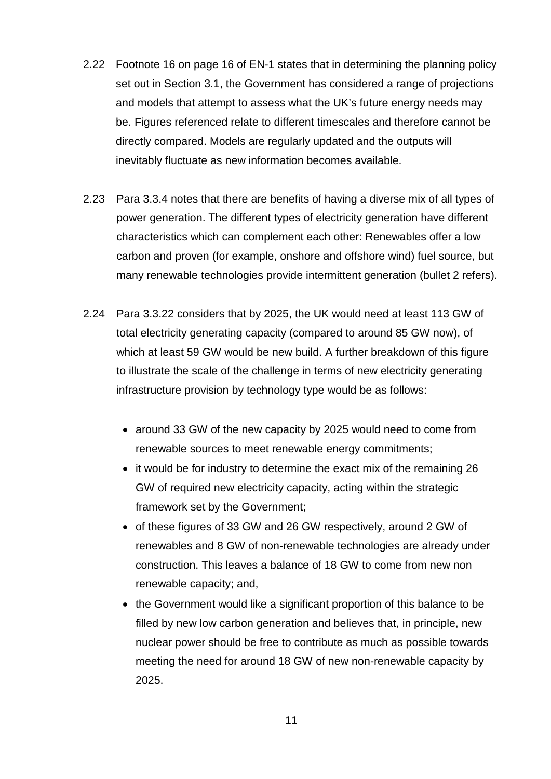- 2.22 Footnote 16 on page 16 of EN-1 states that in determining the planning policy set out in Section 3.1, the Government has considered a range of projections and models that attempt to assess what the UK's future energy needs may be. Figures referenced relate to different timescales and therefore cannot be directly compared. Models are regularly updated and the outputs will inevitably fluctuate as new information becomes available.
- 2.23 Para 3.3.4 notes that there are benefits of having a diverse mix of all types of power generation. The different types of electricity generation have different characteristics which can complement each other: Renewables offer a low carbon and proven (for example, onshore and offshore wind) fuel source, but many renewable technologies provide intermittent generation (bullet 2 refers).
- 2.24 Para 3.3.22 considers that by 2025, the UK would need at least 113 GW of total electricity generating capacity (compared to around 85 GW now), of which at least 59 GW would be new build. A further breakdown of this figure to illustrate the scale of the challenge in terms of new electricity generating infrastructure provision by technology type would be as follows:
	- around 33 GW of the new capacity by 2025 would need to come from renewable sources to meet renewable energy commitments;
	- it would be for industry to determine the exact mix of the remaining 26 GW of required new electricity capacity, acting within the strategic framework set by the Government;
	- of these figures of 33 GW and 26 GW respectively, around 2 GW of renewables and 8 GW of non-renewable technologies are already under construction. This leaves a balance of 18 GW to come from new non renewable capacity; and,
	- the Government would like a significant proportion of this balance to be filled by new low carbon generation and believes that, in principle, new nuclear power should be free to contribute as much as possible towards meeting the need for around 18 GW of new non-renewable capacity by 2025.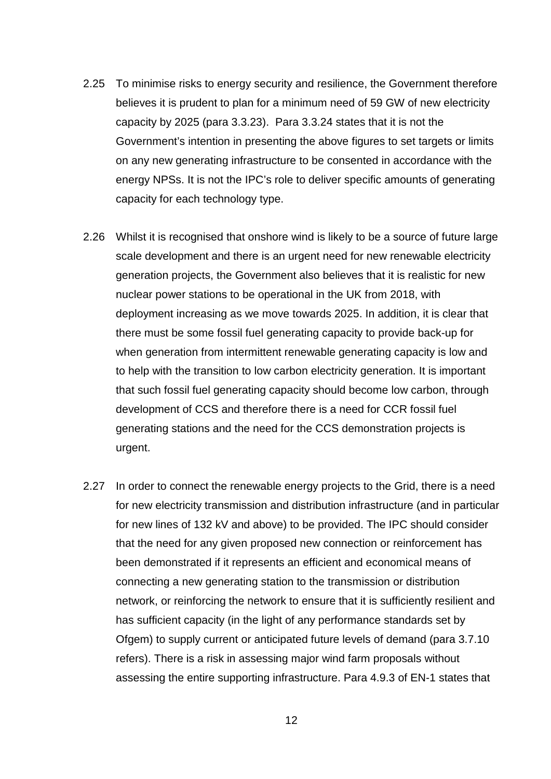- 2.25 To minimise risks to energy security and resilience, the Government therefore believes it is prudent to plan for a minimum need of 59 GW of new electricity capacity by 2025 (para 3.3.23). Para 3.3.24 states that it is not the Government's intention in presenting the above figures to set targets or limits on any new generating infrastructure to be consented in accordance with the energy NPSs. It is not the IPC's role to deliver specific amounts of generating capacity for each technology type.
- 2.26 Whilst it is recognised that onshore wind is likely to be a source of future large scale development and there is an urgent need for new renewable electricity generation projects, the Government also believes that it is realistic for new nuclear power stations to be operational in the UK from 2018, with deployment increasing as we move towards 2025. In addition, it is clear that there must be some fossil fuel generating capacity to provide back-up for when generation from intermittent renewable generating capacity is low and to help with the transition to low carbon electricity generation. It is important that such fossil fuel generating capacity should become low carbon, through development of CCS and therefore there is a need for CCR fossil fuel generating stations and the need for the CCS demonstration projects is urgent.
- 2.27 In order to connect the renewable energy projects to the Grid, there is a need for new electricity transmission and distribution infrastructure (and in particular for new lines of 132 kV and above) to be provided. The IPC should consider that the need for any given proposed new connection or reinforcement has been demonstrated if it represents an efficient and economical means of connecting a new generating station to the transmission or distribution network, or reinforcing the network to ensure that it is sufficiently resilient and has sufficient capacity (in the light of any performance standards set by Ofgem) to supply current or anticipated future levels of demand (para 3.7.10 refers). There is a risk in assessing major wind farm proposals without assessing the entire supporting infrastructure. Para 4.9.3 of EN-1 states that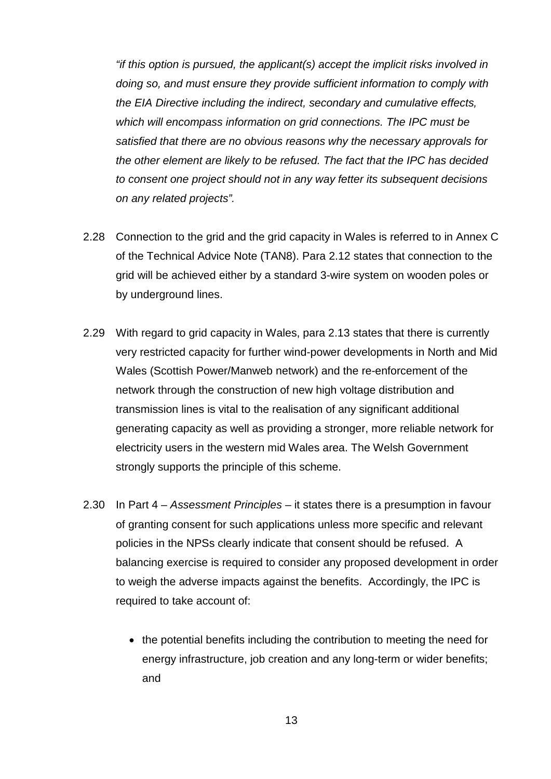*"if this option is pursued, the applicant(s) accept the implicit risks involved in doing so, and must ensure they provide sufficient information to comply with the EIA Directive including the indirect, secondary and cumulative effects, which will encompass information on grid connections. The IPC must be satisfied that there are no obvious reasons why the necessary approvals for the other element are likely to be refused. The fact that the IPC has decided to consent one project should not in any way fetter its subsequent decisions on any related projects".*

- 2.28 Connection to the grid and the grid capacity in Wales is referred to in Annex C of the Technical Advice Note (TAN8). Para 2.12 states that connection to the grid will be achieved either by a standard 3-wire system on wooden poles or by underground lines.
- 2.29 With regard to grid capacity in Wales, para 2.13 states that there is currently very restricted capacity for further wind-power developments in North and Mid Wales (Scottish Power/Manweb network) and the re-enforcement of the network through the construction of new high voltage distribution and transmission lines is vital to the realisation of any significant additional generating capacity as well as providing a stronger, more reliable network for electricity users in the western mid Wales area. The Welsh Government strongly supports the principle of this scheme.
- 2.30 In Part 4 *Assessment Principles* it states there is a presumption in favour of granting consent for such applications unless more specific and relevant policies in the NPSs clearly indicate that consent should be refused. A balancing exercise is required to consider any proposed development in order to weigh the adverse impacts against the benefits. Accordingly, the IPC is required to take account of:
	- the potential benefits including the contribution to meeting the need for energy infrastructure, job creation and any long-term or wider benefits; and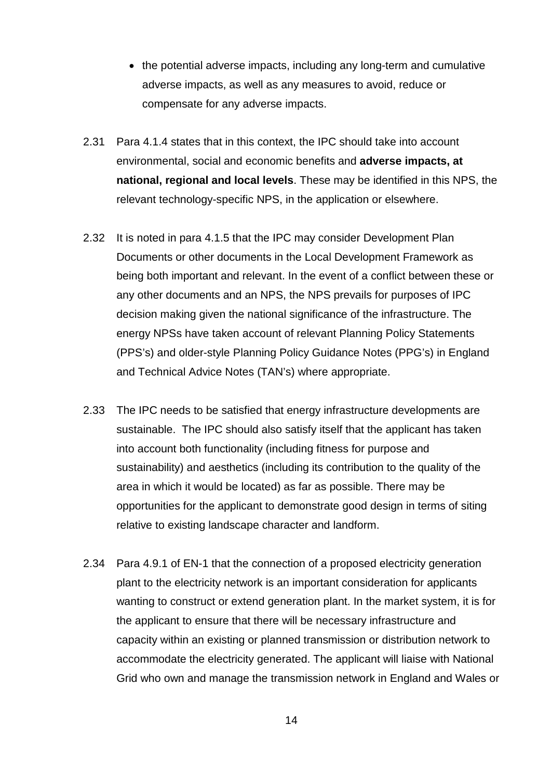- the potential adverse impacts, including any long-term and cumulative adverse impacts, as well as any measures to avoid, reduce or compensate for any adverse impacts.
- 2.31 Para 4.1.4 states that in this context, the IPC should take into account environmental, social and economic benefits and **adverse impacts, at national, regional and local levels**. These may be identified in this NPS, the relevant technology-specific NPS, in the application or elsewhere.
- 2.32 It is noted in para 4.1.5 that the IPC may consider Development Plan Documents or other documents in the Local Development Framework as being both important and relevant. In the event of a conflict between these or any other documents and an NPS, the NPS prevails for purposes of IPC decision making given the national significance of the infrastructure. The energy NPSs have taken account of relevant Planning Policy Statements (PPS's) and older-style Planning Policy Guidance Notes (PPG's) in England and Technical Advice Notes (TAN's) where appropriate.
- 2.33 The IPC needs to be satisfied that energy infrastructure developments are sustainable. The IPC should also satisfy itself that the applicant has taken into account both functionality (including fitness for purpose and sustainability) and aesthetics (including its contribution to the quality of the area in which it would be located) as far as possible. There may be opportunities for the applicant to demonstrate good design in terms of siting relative to existing landscape character and landform.
- 2.34 Para 4.9.1 of EN-1 that the connection of a proposed electricity generation plant to the electricity network is an important consideration for applicants wanting to construct or extend generation plant. In the market system, it is for the applicant to ensure that there will be necessary infrastructure and capacity within an existing or planned transmission or distribution network to accommodate the electricity generated. The applicant will liaise with National Grid who own and manage the transmission network in England and Wales or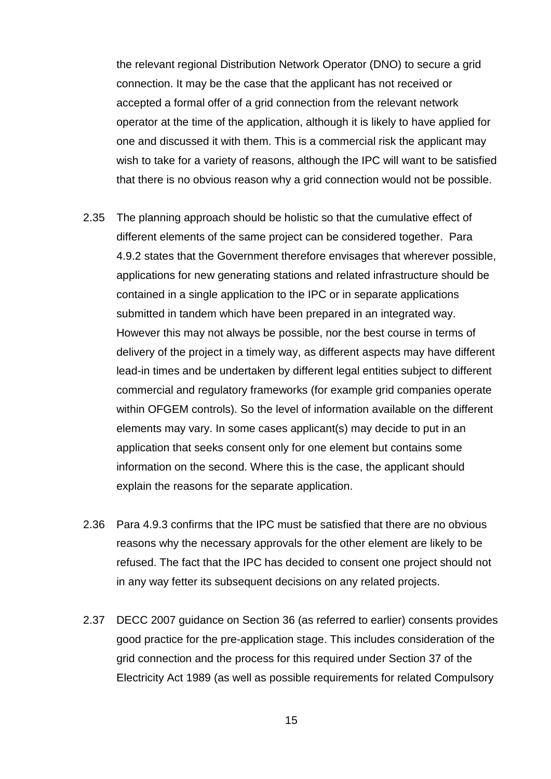the relevant regional Distribution Network Operator (DNO) to secure a grid connection. It may be the case that the applicant has not received or accepted a formal offer of a grid connection from the relevant network operator at the time of the application, although it is likely to have applied for one and discussed it with them. This is a commercial risk the applicant may wish to take for a variety of reasons, although the IPC will want to be satisfied that there is no obvious reason why a grid connection would not be possible.

- 2.35 The planning approach should be holistic so that the cumulative effect of different elements of the same project can be considered together. Para 4.9.2 states that the Government therefore envisages that wherever possible, applications for new generating stations and related infrastructure should be contained in a single application to the IPC or in separate applications submitted in tandem which have been prepared in an integrated way. However this may not always be possible, nor the best course in terms of delivery of the project in a timely way, as different aspects may have different lead-in times and be undertaken by different legal entities subject to different commercial and regulatory frameworks (for example grid companies operate within OFGEM controls). So the level of information available on the different elements may vary. In some cases applicant(s) may decide to put in an application that seeks consent only for one element but contains some information on the second. Where this is the case, the applicant should explain the reasons for the separate application.
- 2.36 Para 4.9.3 confirms that the IPC must be satisfied that there are no obvious reasons why the necessary approvals for the other element are likely to be refused. The fact that the IPC has decided to consent one project should not in any way fetter its subsequent decisions on any related projects.
- 2.37 DECC 2007 guidance on Section 36 (as referred to earlier) consents provides good practice for the pre-application stage. This includes consideration of the grid connection and the process for this required under Section 37 of the Electricity Act 1989 (as well as possible requirements for related Compulsory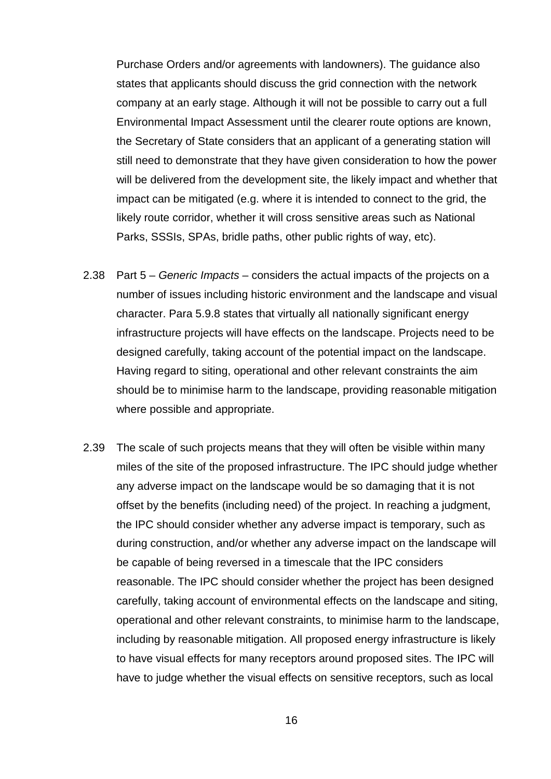Purchase Orders and/or agreements with landowners). The guidance also states that applicants should discuss the grid connection with the network company at an early stage. Although it will not be possible to carry out a full Environmental Impact Assessment until the clearer route options are known, the Secretary of State considers that an applicant of a generating station will still need to demonstrate that they have given consideration to how the power will be delivered from the development site, the likely impact and whether that impact can be mitigated (e.g. where it is intended to connect to the grid, the likely route corridor, whether it will cross sensitive areas such as National Parks, SSSIs, SPAs, bridle paths, other public rights of way, etc).

- 2.38 Part 5 *Generic Impacts* considers the actual impacts of the projects on a number of issues including historic environment and the landscape and visual character. Para 5.9.8 states that virtually all nationally significant energy infrastructure projects will have effects on the landscape. Projects need to be designed carefully, taking account of the potential impact on the landscape. Having regard to siting, operational and other relevant constraints the aim should be to minimise harm to the landscape, providing reasonable mitigation where possible and appropriate.
- 2.39 The scale of such projects means that they will often be visible within many miles of the site of the proposed infrastructure. The IPC should judge whether any adverse impact on the landscape would be so damaging that it is not offset by the benefits (including need) of the project. In reaching a judgment, the IPC should consider whether any adverse impact is temporary, such as during construction, and/or whether any adverse impact on the landscape will be capable of being reversed in a timescale that the IPC considers reasonable. The IPC should consider whether the project has been designed carefully, taking account of environmental effects on the landscape and siting, operational and other relevant constraints, to minimise harm to the landscape, including by reasonable mitigation. All proposed energy infrastructure is likely to have visual effects for many receptors around proposed sites. The IPC will have to judge whether the visual effects on sensitive receptors, such as local

16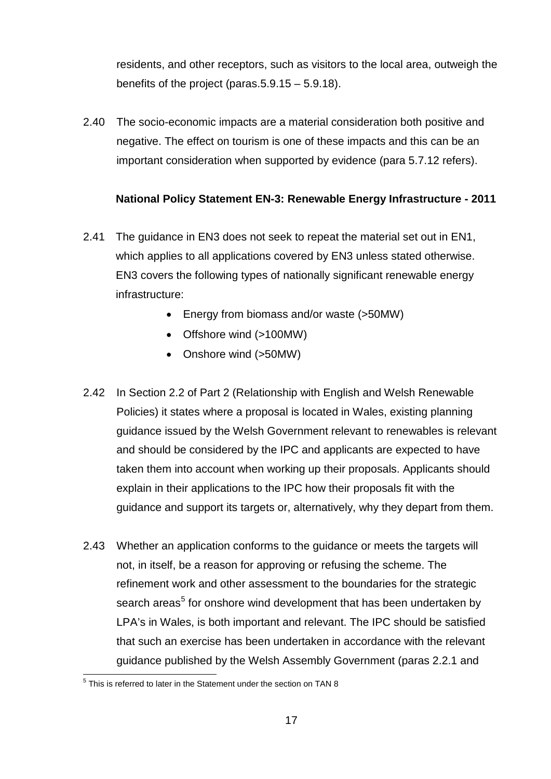residents, and other receptors, such as visitors to the local area, outweigh the benefits of the project (paras.5.9.15 – 5.9.18).

2.40 The socio-economic impacts are a material consideration both positive and negative. The effect on tourism is one of these impacts and this can be an important consideration when supported by evidence (para 5.7.12 refers).

# **National Policy Statement EN-3: Renewable Energy Infrastructure - 2011**

- 2.41 The guidance in EN3 does not seek to repeat the material set out in EN1, which applies to all applications covered by EN3 unless stated otherwise. EN3 covers the following types of nationally significant renewable energy infrastructure:
	- Energy from biomass and/or waste (>50MW)
	- Offshore wind (>100MW)
	- Onshore wind (>50MW)
- 2.42 In Section 2.2 of Part 2 (Relationship with English and Welsh Renewable Policies) it states where a proposal is located in Wales, existing planning guidance issued by the Welsh Government relevant to renewables is relevant and should be considered by the IPC and applicants are expected to have taken them into account when working up their proposals. Applicants should explain in their applications to the IPC how their proposals fit with the guidance and support its targets or, alternatively, why they depart from them.
- 2.43 Whether an application conforms to the quidance or meets the targets will not, in itself, be a reason for approving or refusing the scheme. The refinement work and other assessment to the boundaries for the strategic search areas<sup>[5](#page-20-0)</sup> for onshore wind development that has been undertaken by LPA's in Wales, is both important and relevant. The IPC should be satisfied that such an exercise has been undertaken in accordance with the relevant guidance published by the Welsh Assembly Government (paras 2.2.1 and

<span id="page-20-0"></span> $5$  This is referred to later in the Statement under the section on TAN 8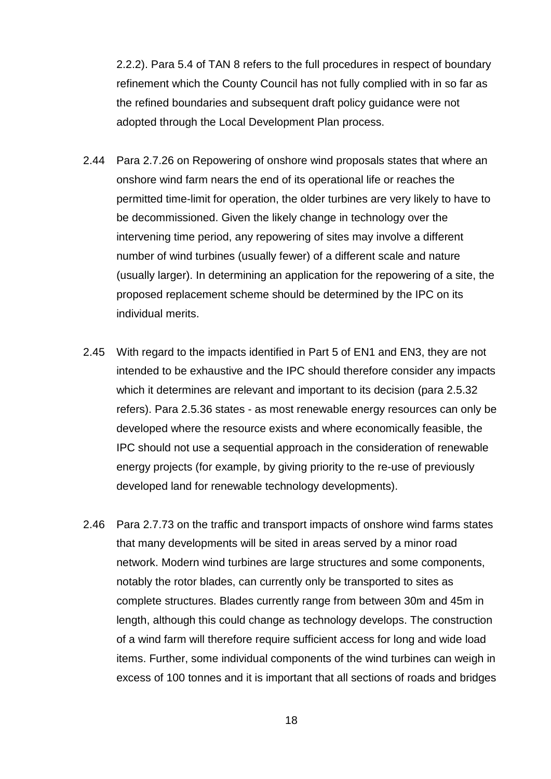2.2.2). Para 5.4 of TAN 8 refers to the full procedures in respect of boundary refinement which the County Council has not fully complied with in so far as the refined boundaries and subsequent draft policy guidance were not adopted through the Local Development Plan process.

- 2.44 Para 2.7.26 on Repowering of onshore wind proposals states that where an onshore wind farm nears the end of its operational life or reaches the permitted time-limit for operation, the older turbines are very likely to have to be decommissioned. Given the likely change in technology over the intervening time period, any repowering of sites may involve a different number of wind turbines (usually fewer) of a different scale and nature (usually larger). In determining an application for the repowering of a site, the proposed replacement scheme should be determined by the IPC on its individual merits.
- 2.45 With regard to the impacts identified in Part 5 of EN1 and EN3, they are not intended to be exhaustive and the IPC should therefore consider any impacts which it determines are relevant and important to its decision (para 2.5.32) refers). Para 2.5.36 states - as most renewable energy resources can only be developed where the resource exists and where economically feasible, the IPC should not use a sequential approach in the consideration of renewable energy projects (for example, by giving priority to the re-use of previously developed land for renewable technology developments).
- 2.46 Para 2.7.73 on the traffic and transport impacts of onshore wind farms states that many developments will be sited in areas served by a minor road network. Modern wind turbines are large structures and some components, notably the rotor blades, can currently only be transported to sites as complete structures. Blades currently range from between 30m and 45m in length, although this could change as technology develops. The construction of a wind farm will therefore require sufficient access for long and wide load items. Further, some individual components of the wind turbines can weigh in excess of 100 tonnes and it is important that all sections of roads and bridges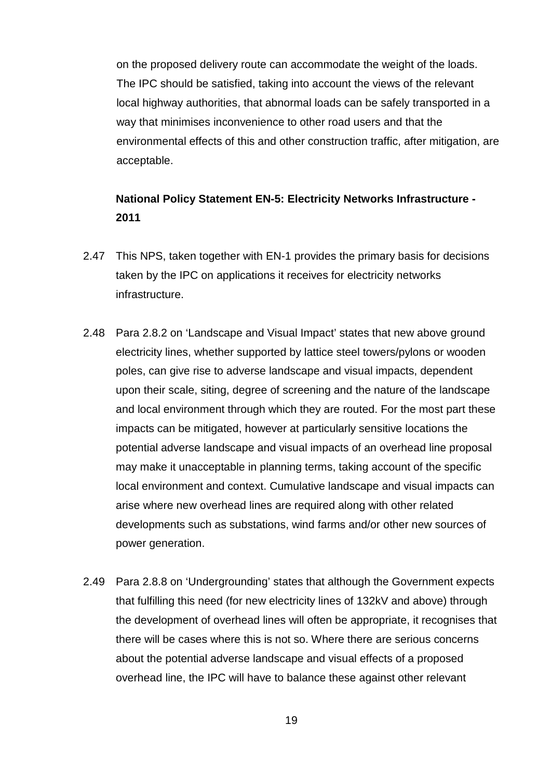on the proposed delivery route can accommodate the weight of the loads. The IPC should be satisfied, taking into account the views of the relevant local highway authorities, that abnormal loads can be safely transported in a way that minimises inconvenience to other road users and that the environmental effects of this and other construction traffic, after mitigation, are acceptable.

# **National Policy Statement EN-5: Electricity Networks Infrastructure - 2011**

- 2.47 This NPS, taken together with EN-1 provides the primary basis for decisions taken by the IPC on applications it receives for electricity networks infrastructure.
- 2.48 Para 2.8.2 on 'Landscape and Visual Impact' states that new above ground electricity lines, whether supported by lattice steel towers/pylons or wooden poles, can give rise to adverse landscape and visual impacts, dependent upon their scale, siting, degree of screening and the nature of the landscape and local environment through which they are routed. For the most part these impacts can be mitigated, however at particularly sensitive locations the potential adverse landscape and visual impacts of an overhead line proposal may make it unacceptable in planning terms, taking account of the specific local environment and context. Cumulative landscape and visual impacts can arise where new overhead lines are required along with other related developments such as substations, wind farms and/or other new sources of power generation.
- 2.49 Para 2.8.8 on 'Undergrounding' states that although the Government expects that fulfilling this need (for new electricity lines of 132kV and above) through the development of overhead lines will often be appropriate, it recognises that there will be cases where this is not so. Where there are serious concerns about the potential adverse landscape and visual effects of a proposed overhead line, the IPC will have to balance these against other relevant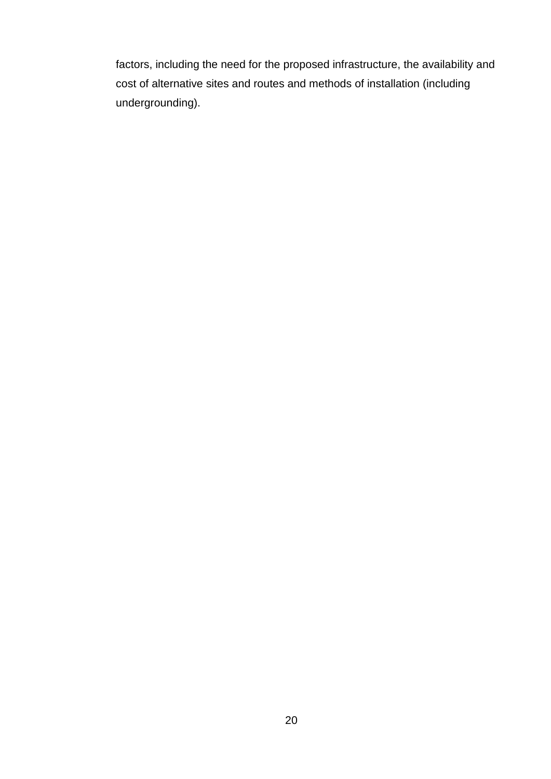factors, including the need for the proposed infrastructure, the availability and cost of alternative sites and routes and methods of installation (including undergrounding).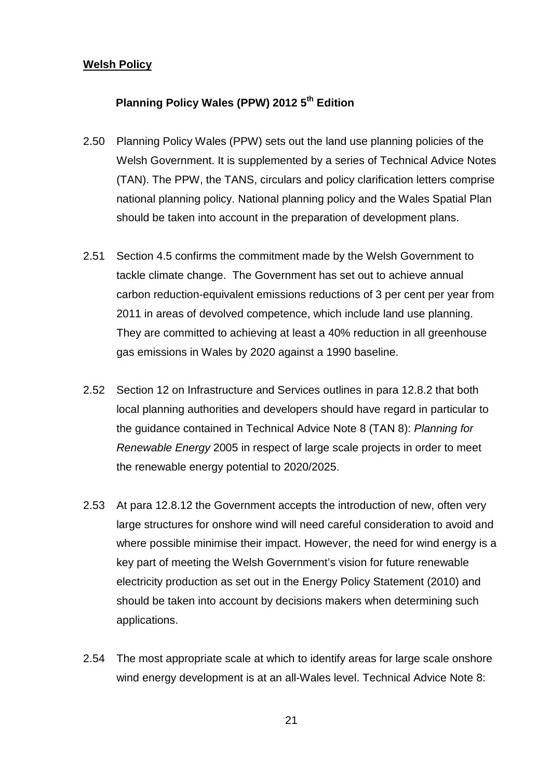#### **Welsh Policy**

# **Planning Policy Wales (PPW) 2012 5th Edition**

- 2.50 Planning Policy Wales (PPW) sets out the land use planning policies of the Welsh Government. It is supplemented by a series of Technical Advice Notes (TAN). The PPW, the TANS, circulars and policy clarification letters comprise national planning policy. National planning policy and the Wales Spatial Plan should be taken into account in the preparation of development plans.
- 2.51 Section 4.5 confirms the commitment made by the Welsh Government to tackle climate change. The Government has set out to achieve annual carbon reduction-equivalent emissions reductions of 3 per cent per year from 2011 in areas of devolved competence, which include land use planning. They are committed to achieving at least a 40% reduction in all greenhouse gas emissions in Wales by 2020 against a 1990 baseline.
- 2.52 Section 12 on Infrastructure and Services outlines in para 12.8.2 that both local planning authorities and developers should have regard in particular to the guidance contained in Technical Advice Note 8 (TAN 8): *Planning for Renewable Energy* 2005 in respect of large scale projects in order to meet the renewable energy potential to 2020/2025.
- 2.53 At para 12.8.12 the Government accepts the introduction of new, often very large structures for onshore wind will need careful consideration to avoid and where possible minimise their impact. However, the need for wind energy is a key part of meeting the Welsh Government's vision for future renewable electricity production as set out in the Energy Policy Statement (2010) and should be taken into account by decisions makers when determining such applications.
- 2.54 The most appropriate scale at which to identify areas for large scale onshore wind energy development is at an all-Wales level. Technical Advice Note 8: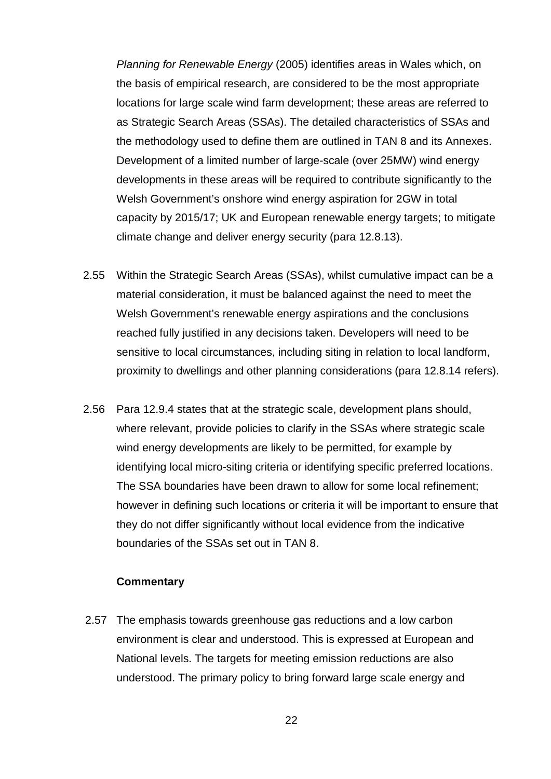*Planning for Renewable Energy* (2005) identifies areas in Wales which, on the basis of empirical research, are considered to be the most appropriate locations for large scale wind farm development; these areas are referred to as Strategic Search Areas (SSAs). The detailed characteristics of SSAs and the methodology used to define them are outlined in TAN 8 and its Annexes. Development of a limited number of large-scale (over 25MW) wind energy developments in these areas will be required to contribute significantly to the Welsh Government's onshore wind energy aspiration for 2GW in total capacity by 2015/17; UK and European renewable energy targets; to mitigate climate change and deliver energy security (para 12.8.13).

- 2.55 Within the Strategic Search Areas (SSAs), whilst cumulative impact can be a material consideration, it must be balanced against the need to meet the Welsh Government's renewable energy aspirations and the conclusions reached fully justified in any decisions taken. Developers will need to be sensitive to local circumstances, including siting in relation to local landform, proximity to dwellings and other planning considerations (para 12.8.14 refers).
- 2.56 Para 12.9.4 states that at the strategic scale, development plans should, where relevant, provide policies to clarify in the SSAs where strategic scale wind energy developments are likely to be permitted, for example by identifying local micro-siting criteria or identifying specific preferred locations. The SSA boundaries have been drawn to allow for some local refinement; however in defining such locations or criteria it will be important to ensure that they do not differ significantly without local evidence from the indicative boundaries of the SSAs set out in TAN 8.

#### **Commentary**

2.57 The emphasis towards greenhouse gas reductions and a low carbon environment is clear and understood. This is expressed at European and National levels. The targets for meeting emission reductions are also understood. The primary policy to bring forward large scale energy and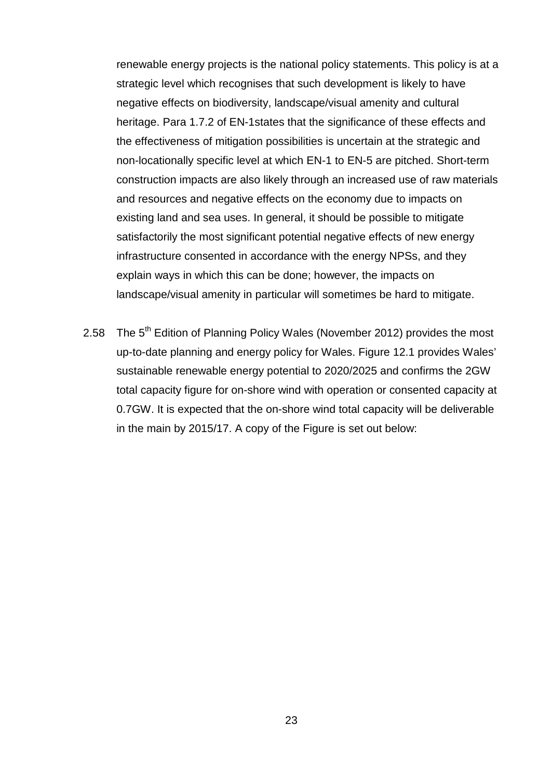renewable energy projects is the national policy statements. This policy is at a strategic level which recognises that such development is likely to have negative effects on biodiversity, landscape/visual amenity and cultural heritage. Para 1.7.2 of EN-1states that the significance of these effects and the effectiveness of mitigation possibilities is uncertain at the strategic and non-locationally specific level at which EN-1 to EN-5 are pitched. Short-term construction impacts are also likely through an increased use of raw materials and resources and negative effects on the economy due to impacts on existing land and sea uses. In general, it should be possible to mitigate satisfactorily the most significant potential negative effects of new energy infrastructure consented in accordance with the energy NPSs, and they explain ways in which this can be done; however, the impacts on landscape/visual amenity in particular will sometimes be hard to mitigate.

2.58 The 5<sup>th</sup> Edition of Planning Policy Wales (November 2012) provides the most up-to-date planning and energy policy for Wales. Figure 12.1 provides Wales' sustainable renewable energy potential to 2020/2025 and confirms the 2GW total capacity figure for on-shore wind with operation or consented capacity at 0.7GW. It is expected that the on-shore wind total capacity will be deliverable in the main by 2015/17. A copy of the Figure is set out below: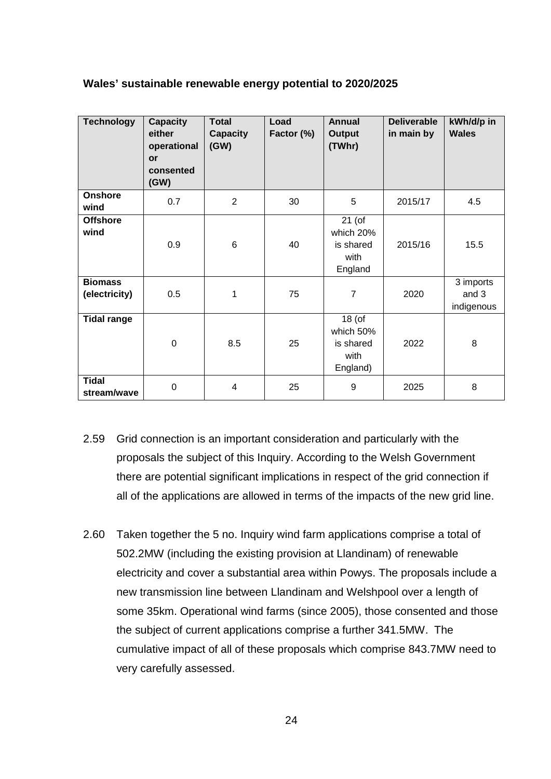| <b>Technology</b>               | <b>Capacity</b><br>either<br>operational<br>or<br>consented<br>(GW) | <b>Total</b><br><b>Capacity</b><br>(GW) | Load<br>Factor (%) | <b>Annual</b><br><b>Output</b><br>(TWhr)               | <b>Deliverable</b><br>in main by | kWh/d/p in<br><b>Wales</b>       |
|---------------------------------|---------------------------------------------------------------------|-----------------------------------------|--------------------|--------------------------------------------------------|----------------------------------|----------------------------------|
| <b>Onshore</b><br>wind          | 0.7                                                                 | $\overline{2}$                          | 30                 | 5                                                      | 2015/17                          | 4.5                              |
| <b>Offshore</b><br>wind         | 0.9                                                                 | $6\phantom{1}$                          | 40                 | $21$ (of<br>which 20%<br>is shared<br>with<br>England  | 2015/16                          | 15.5                             |
| <b>Biomass</b><br>(electricity) | 0.5                                                                 | 1                                       | 75                 | $\overline{7}$                                         | 2020                             | 3 imports<br>and 3<br>indigenous |
| <b>Tidal range</b>              | $\mathbf 0$                                                         | 8.5                                     | 25                 | $18($ of<br>which 50%<br>is shared<br>with<br>England) | 2022                             | 8                                |
| <b>Tidal</b><br>stream/wave     | $\mathbf 0$                                                         | 4                                       | 25                 | 9                                                      | 2025                             | 8                                |

#### **Wales' sustainable renewable energy potential to 2020/2025**

- 2.59 Grid connection is an important consideration and particularly with the proposals the subject of this Inquiry. According to the Welsh Government there are potential significant implications in respect of the grid connection if all of the applications are allowed in terms of the impacts of the new grid line.
- 2.60 Taken together the 5 no. Inquiry wind farm applications comprise a total of 502.2MW (including the existing provision at Llandinam) of renewable electricity and cover a substantial area within Powys. The proposals include a new transmission line between Llandinam and Welshpool over a length of some 35km. Operational wind farms (since 2005), those consented and those the subject of current applications comprise a further 341.5MW. The cumulative impact of all of these proposals which comprise 843.7MW need to very carefully assessed.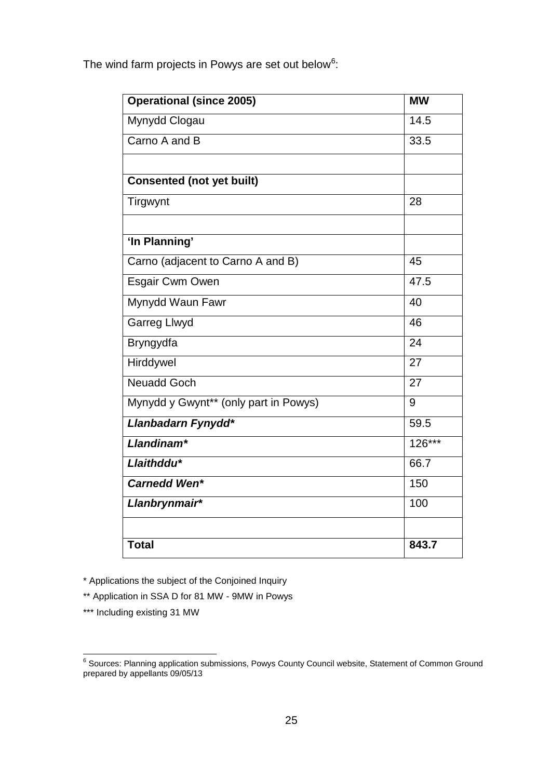| <b>Operational (since 2005)</b>       | <b>MW</b> |
|---------------------------------------|-----------|
| Mynydd Clogau                         | 14.5      |
| Carno A and B                         | 33.5      |
|                                       |           |
| <b>Consented (not yet built)</b>      |           |
| Tirgwynt                              | 28        |
|                                       |           |
| 'In Planning'                         |           |
| Carno (adjacent to Carno A and B)     | 45        |
| Esgair Cwm Owen                       | 47.5      |
| Mynydd Waun Fawr                      | 40        |
| <b>Garreg Llwyd</b>                   | 46        |
| Bryngydfa                             | 24        |
| Hirddywel                             | 27        |
| <b>Neuadd Goch</b>                    | 27        |
| Mynydd y Gwynt** (only part in Powys) | 9         |
| Llanbadarn Fynydd*                    | 59.5      |
| Llandinam*                            | $126***$  |
| Llaithddu*                            | 66.7      |
| <b>Carnedd Wen*</b>                   | 150       |
| Llanbrynmair*                         | 100       |
|                                       |           |
| <b>Total</b>                          | 843.7     |

The wind farm projects in Powys are set out below<sup>[6](#page-28-0)</sup>:

\* Applications the subject of the Conjoined Inquiry

\*\* Application in SSA D for 81 MW - 9MW in Powys

\*\*\* Including existing 31 MW

<span id="page-28-0"></span><sup>&</sup>lt;u>com</u><br><sup>6</sup> Sources: Planning application submissions, Powys County Council website, Statement of Common Ground prepared by appellants 09/05/13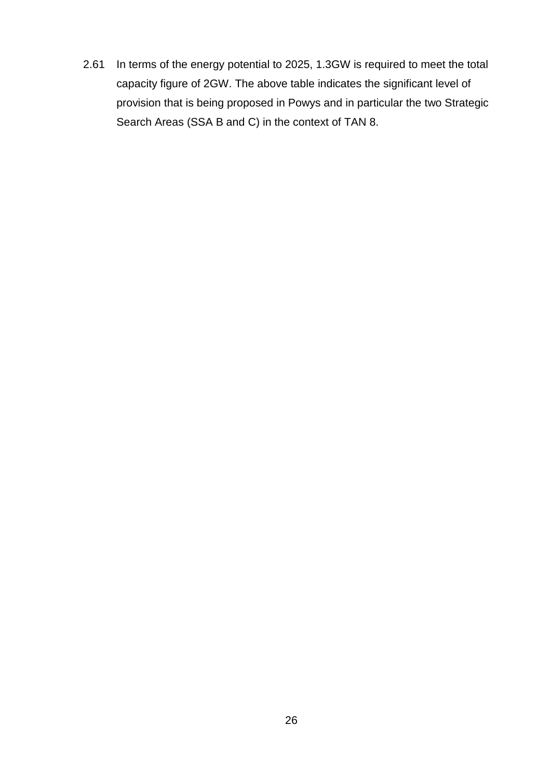2.61 In terms of the energy potential to 2025, 1.3GW is required to meet the total capacity figure of 2GW. The above table indicates the significant level of provision that is being proposed in Powys and in particular the two Strategic Search Areas (SSA B and C) in the context of TAN 8.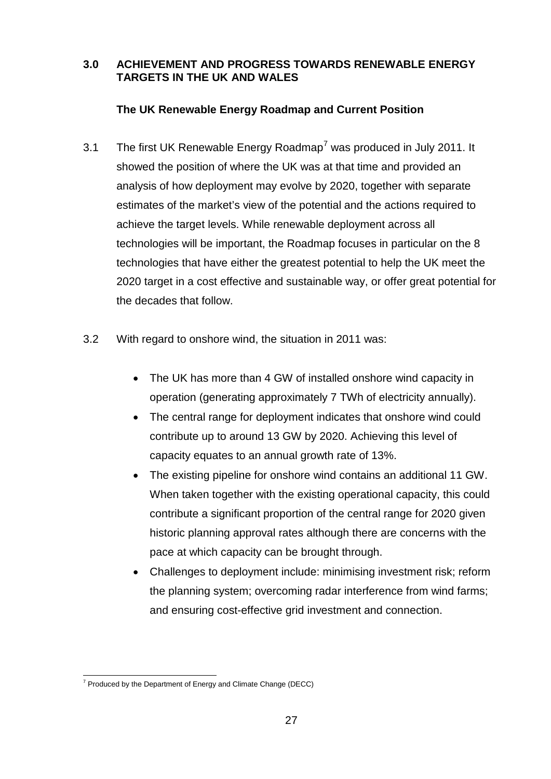### **3.0 ACHIEVEMENT AND PROGRESS TOWARDS RENEWABLE ENERGY TARGETS IN THE UK AND WALES**

# **The UK Renewable Energy Roadmap and Current Position**

- 3.1 The first UK Renewable Energy Roadmap<sup>[7](#page-30-0)</sup> was produced in July 2011. It showed the position of where the UK was at that time and provided an analysis of how deployment may evolve by 2020, together with separate estimates of the market's view of the potential and the actions required to achieve the target levels. While renewable deployment across all technologies will be important, the Roadmap focuses in particular on the 8 technologies that have either the greatest potential to help the UK meet the 2020 target in a cost effective and sustainable way, or offer great potential for the decades that follow.
- 3.2 With regard to onshore wind, the situation in 2011 was:
	- The UK has more than 4 GW of installed onshore wind capacity in operation (generating approximately 7 TWh of electricity annually).
	- The central range for deployment indicates that onshore wind could contribute up to around 13 GW by 2020. Achieving this level of capacity equates to an annual growth rate of 13%.
	- The existing pipeline for onshore wind contains an additional 11 GW. When taken together with the existing operational capacity, this could contribute a significant proportion of the central range for 2020 given historic planning approval rates although there are concerns with the pace at which capacity can be brought through.
	- Challenges to deployment include: minimising investment risk; reform the planning system; overcoming radar interference from wind farms; and ensuring cost-effective grid investment and connection.

<span id="page-30-0"></span> $7$  Produced by the Department of Energy and Climate Change (DECC)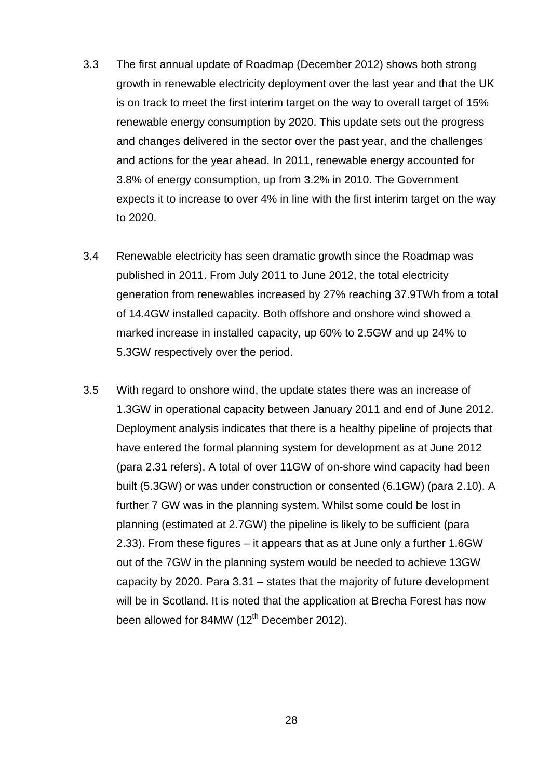- 3.3 The first annual update of Roadmap (December 2012) shows both strong growth in renewable electricity deployment over the last year and that the UK is on track to meet the first interim target on the way to overall target of 15% renewable energy consumption by 2020. This update sets out the progress and changes delivered in the sector over the past year, and the challenges and actions for the year ahead. In 2011, renewable energy accounted for 3.8% of energy consumption, up from 3.2% in 2010. The Government expects it to increase to over 4% in line with the first interim target on the way to 2020.
- 3.4 Renewable electricity has seen dramatic growth since the Roadmap was published in 2011. From July 2011 to June 2012, the total electricity generation from renewables increased by 27% reaching 37.9TWh from a total of 14.4GW installed capacity. Both offshore and onshore wind showed a marked increase in installed capacity, up 60% to 2.5GW and up 24% to 5.3GW respectively over the period.
- 3.5 With regard to onshore wind, the update states there was an increase of 1.3GW in operational capacity between January 2011 and end of June 2012. Deployment analysis indicates that there is a healthy pipeline of projects that have entered the formal planning system for development as at June 2012 (para 2.31 refers). A total of over 11GW of on-shore wind capacity had been built (5.3GW) or was under construction or consented (6.1GW) (para 2.10). A further 7 GW was in the planning system. Whilst some could be lost in planning (estimated at 2.7GW) the pipeline is likely to be sufficient (para 2.33). From these figures – it appears that as at June only a further 1.6GW out of the 7GW in the planning system would be needed to achieve 13GW capacity by 2020. Para 3.31 – states that the majority of future development will be in Scotland. It is noted that the application at Brecha Forest has now been allowed for 84MW  $(12<sup>th</sup>$  December 2012).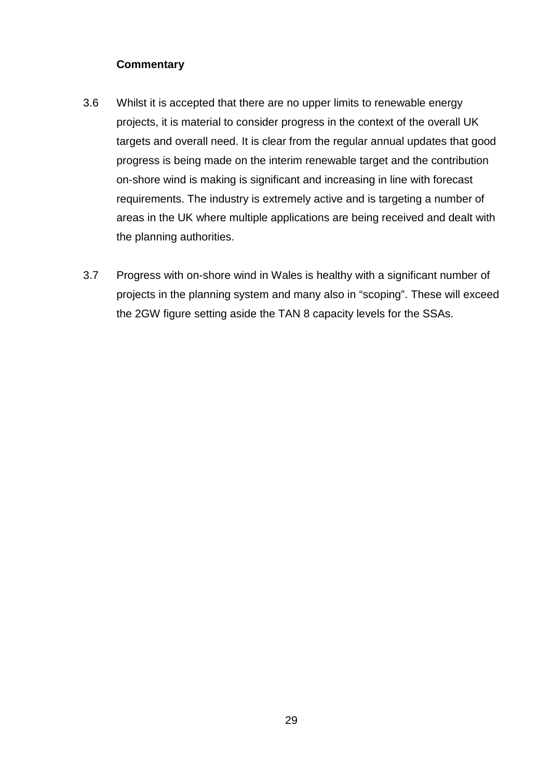# **Commentary**

- 3.6 Whilst it is accepted that there are no upper limits to renewable energy projects, it is material to consider progress in the context of the overall UK targets and overall need. It is clear from the regular annual updates that good progress is being made on the interim renewable target and the contribution on-shore wind is making is significant and increasing in line with forecast requirements. The industry is extremely active and is targeting a number of areas in the UK where multiple applications are being received and dealt with the planning authorities.
- 3.7 Progress with on-shore wind in Wales is healthy with a significant number of projects in the planning system and many also in "scoping". These will exceed the 2GW figure setting aside the TAN 8 capacity levels for the SSAs.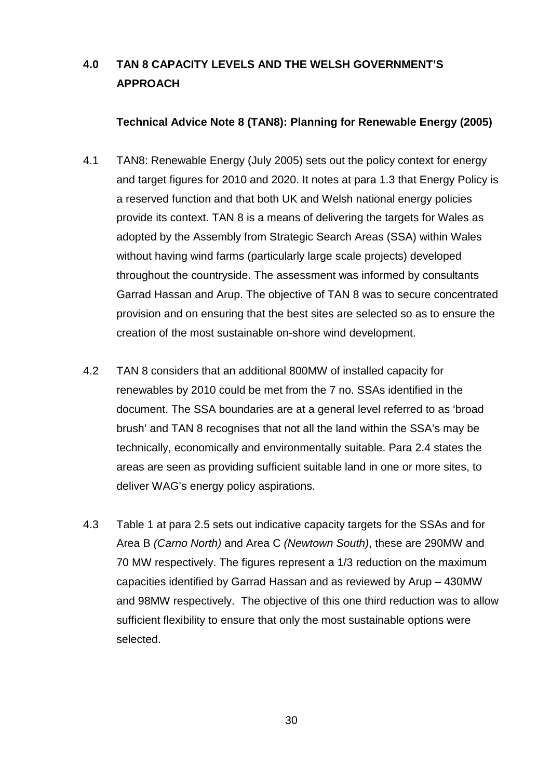# **4.0 TAN 8 CAPACITY LEVELS AND THE WELSH GOVERNMENT'S APPROACH**

#### **Technical Advice Note 8 (TAN8): Planning for Renewable Energy (2005)**

- 4.1 TAN8: Renewable Energy (July 2005) sets out the policy context for energy and target figures for 2010 and 2020. It notes at para 1.3 that Energy Policy is a reserved function and that both UK and Welsh national energy policies provide its context. TAN 8 is a means of delivering the targets for Wales as adopted by the Assembly from Strategic Search Areas (SSA) within Wales without having wind farms (particularly large scale projects) developed throughout the countryside. The assessment was informed by consultants Garrad Hassan and Arup. The objective of TAN 8 was to secure concentrated provision and on ensuring that the best sites are selected so as to ensure the creation of the most sustainable on-shore wind development.
- 4.2 TAN 8 considers that an additional 800MW of installed capacity for renewables by 2010 could be met from the 7 no. SSAs identified in the document. The SSA boundaries are at a general level referred to as 'broad brush' and TAN 8 recognises that not all the land within the SSA's may be technically, economically and environmentally suitable. Para 2.4 states the areas are seen as providing sufficient suitable land in one or more sites, to deliver WAG's energy policy aspirations.
- 4.3 Table 1 at para 2.5 sets out indicative capacity targets for the SSAs and for Area B *(Carno North)* and Area C *(Newtown South)*, these are 290MW and 70 MW respectively. The figures represent a 1/3 reduction on the maximum capacities identified by Garrad Hassan and as reviewed by Arup – 430MW and 98MW respectively. The objective of this one third reduction was to allow sufficient flexibility to ensure that only the most sustainable options were selected.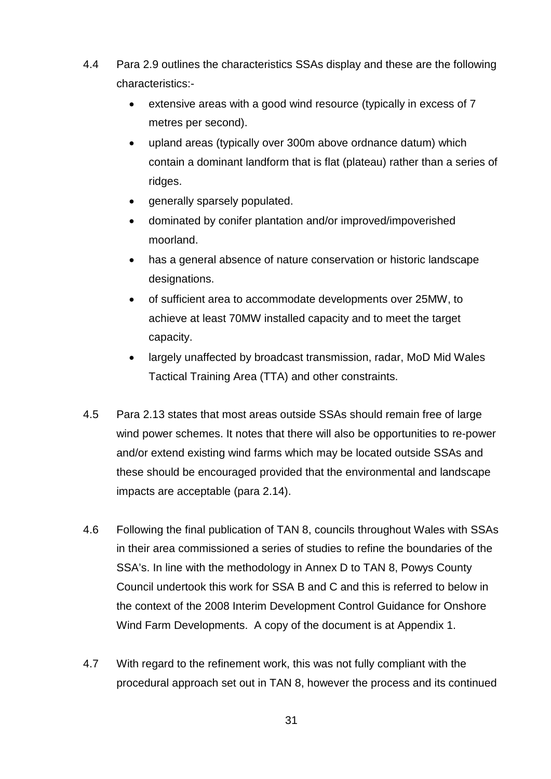- 4.4 Para 2.9 outlines the characteristics SSAs display and these are the following characteristics:
	- extensive areas with a good wind resource (typically in excess of 7 metres per second).
	- upland areas (typically over 300m above ordnance datum) which contain a dominant landform that is flat (plateau) rather than a series of ridges.
	- generally sparsely populated.
	- dominated by conifer plantation and/or improved/impoverished moorland.
	- has a general absence of nature conservation or historic landscape designations.
	- of sufficient area to accommodate developments over 25MW, to achieve at least 70MW installed capacity and to meet the target capacity.
	- largely unaffected by broadcast transmission, radar, MoD Mid Wales Tactical Training Area (TTA) and other constraints.
- 4.5 Para 2.13 states that most areas outside SSAs should remain free of large wind power schemes. It notes that there will also be opportunities to re-power and/or extend existing wind farms which may be located outside SSAs and these should be encouraged provided that the environmental and landscape impacts are acceptable (para 2.14).
- 4.6 Following the final publication of TAN 8, councils throughout Wales with SSAs in their area commissioned a series of studies to refine the boundaries of the SSA's. In line with the methodology in Annex D to TAN 8, Powys County Council undertook this work for SSA B and C and this is referred to below in the context of the 2008 Interim Development Control Guidance for Onshore Wind Farm Developments. A copy of the document is at Appendix 1.
- 4.7 With regard to the refinement work, this was not fully compliant with the procedural approach set out in TAN 8, however the process and its continued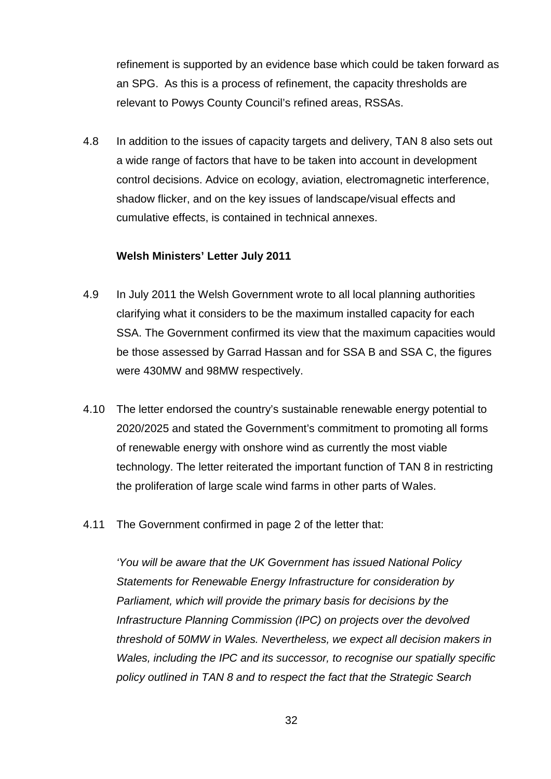refinement is supported by an evidence base which could be taken forward as an SPG. As this is a process of refinement, the capacity thresholds are relevant to Powys County Council's refined areas, RSSAs.

4.8 In addition to the issues of capacity targets and delivery, TAN 8 also sets out a wide range of factors that have to be taken into account in development control decisions. Advice on ecology, aviation, electromagnetic interference, shadow flicker, and on the key issues of landscape/visual effects and cumulative effects, is contained in technical annexes.

#### **Welsh Ministers' Letter July 2011**

- 4.9 In July 2011 the Welsh Government wrote to all local planning authorities clarifying what it considers to be the maximum installed capacity for each SSA. The Government confirmed its view that the maximum capacities would be those assessed by Garrad Hassan and for SSA B and SSA C, the figures were 430MW and 98MW respectively.
- 4.10 The letter endorsed the country's sustainable renewable energy potential to 2020/2025 and stated the Government's commitment to promoting all forms of renewable energy with onshore wind as currently the most viable technology. The letter reiterated the important function of TAN 8 in restricting the proliferation of large scale wind farms in other parts of Wales.
- 4.11 The Government confirmed in page 2 of the letter that:

*'You will be aware that the UK Government has issued National Policy Statements for Renewable Energy Infrastructure for consideration by Parliament, which will provide the primary basis for decisions by the Infrastructure Planning Commission (IPC) on projects over the devolved threshold of 50MW in Wales. Nevertheless, we expect all decision makers in Wales, including the IPC and its successor, to recognise our spatially specific policy outlined in TAN 8 and to respect the fact that the Strategic Search*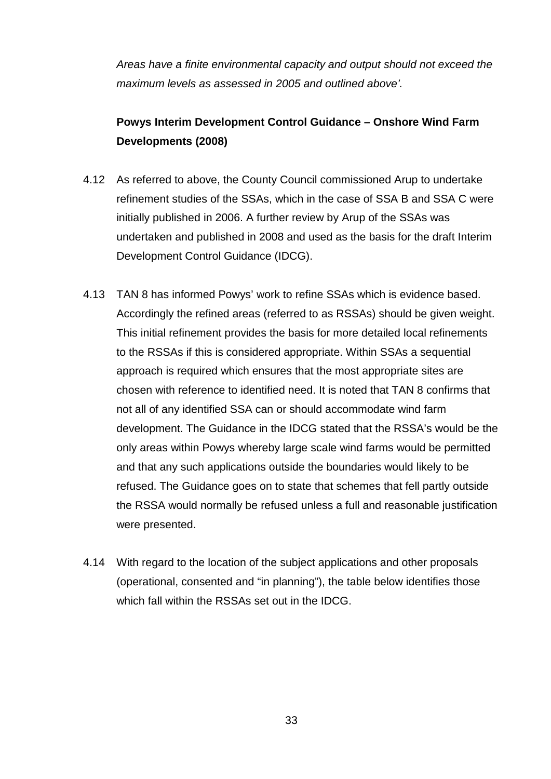*Areas have a finite environmental capacity and output should not exceed the maximum levels as assessed in 2005 and outlined above'.*

# **Powys Interim Development Control Guidance – Onshore Wind Farm Developments (2008)**

- 4.12 As referred to above, the County Council commissioned Arup to undertake refinement studies of the SSAs, which in the case of SSA B and SSA C were initially published in 2006. A further review by Arup of the SSAs was undertaken and published in 2008 and used as the basis for the draft Interim Development Control Guidance (IDCG).
- 4.13 TAN 8 has informed Powys' work to refine SSAs which is evidence based. Accordingly the refined areas (referred to as RSSAs) should be given weight. This initial refinement provides the basis for more detailed local refinements to the RSSAs if this is considered appropriate. Within SSAs a sequential approach is required which ensures that the most appropriate sites are chosen with reference to identified need. It is noted that TAN 8 confirms that not all of any identified SSA can or should accommodate wind farm development. The Guidance in the IDCG stated that the RSSA's would be the only areas within Powys whereby large scale wind farms would be permitted and that any such applications outside the boundaries would likely to be refused. The Guidance goes on to state that schemes that fell partly outside the RSSA would normally be refused unless a full and reasonable justification were presented.
- 4.14 With regard to the location of the subject applications and other proposals (operational, consented and "in planning"), the table below identifies those which fall within the RSSAs set out in the IDCG.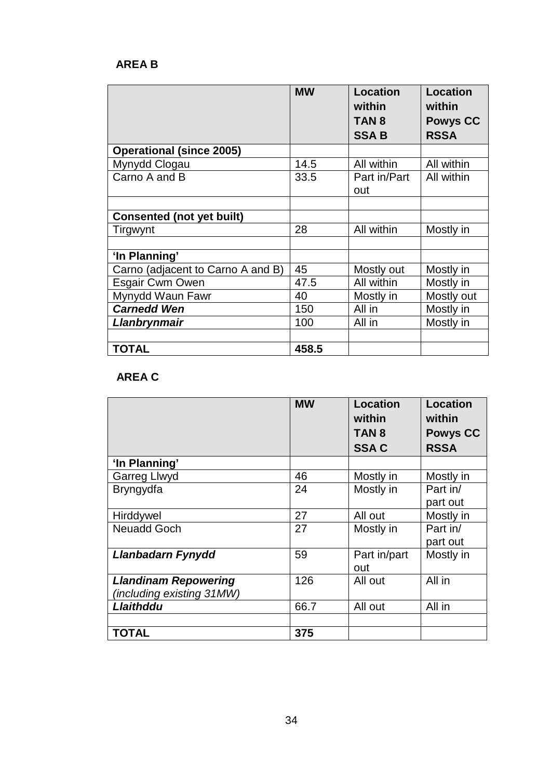# **AREA B**

|                                   | <b>MW</b> | <b>Location</b><br>within<br>TAN <sub>8</sub><br><b>SSAB</b> | <b>Location</b><br>within<br><b>Powys CC</b><br><b>RSSA</b> |
|-----------------------------------|-----------|--------------------------------------------------------------|-------------------------------------------------------------|
| <b>Operational (since 2005)</b>   |           |                                                              |                                                             |
| Mynydd Clogau                     | 14.5      | All within                                                   | All within                                                  |
| Carno A and B                     | 33.5      | Part in/Part<br>out                                          | All within                                                  |
|                                   |           |                                                              |                                                             |
| <b>Consented (not yet built)</b>  |           |                                                              |                                                             |
| Tirgwynt                          | 28        | All within                                                   | Mostly in                                                   |
|                                   |           |                                                              |                                                             |
| 'In Planning'                     |           |                                                              |                                                             |
| Carno (adjacent to Carno A and B) | 45        | Mostly out                                                   | Mostly in                                                   |
| Esgair Cwm Owen                   | 47.5      | All within                                                   | Mostly in                                                   |
| Mynydd Waun Fawr                  | 40        | Mostly in                                                    | Mostly out                                                  |
| <b>Carnedd Wen</b>                | 150       | All in                                                       | Mostly in                                                   |
| Llanbrynmair                      | 100       | All in                                                       | Mostly in                                                   |
|                                   |           |                                                              |                                                             |
| <b>TOTAL</b>                      | 458.5     |                                                              |                                                             |

# **AREA C**

|                             | <b>MW</b> | <b>Location</b><br>within | <b>Location</b><br>within |
|-----------------------------|-----------|---------------------------|---------------------------|
|                             |           | TAN <sub>8</sub>          | <b>Powys CC</b>           |
|                             |           | <b>SSAC</b>               | <b>RSSA</b>               |
| 'In Planning'               |           |                           |                           |
| Garreg Llwyd                | 46        | Mostly in                 | Mostly in                 |
| Bryngydfa                   | 24        | Mostly in                 | Part in/                  |
|                             |           |                           | part out                  |
| Hirddywel                   | 27        | All out                   | Mostly in                 |
| <b>Neuadd Goch</b>          | 27        | Mostly in                 | Part in/                  |
|                             |           |                           | part out                  |
| Llanbadarn Fynydd           | 59        | Part in/part              | Mostly in                 |
|                             |           | out                       |                           |
| <b>Llandinam Repowering</b> | 126       | All out                   | All in                    |
| (including existing 31MW)   |           |                           |                           |
| Llaithddu                   | 66.7      | All out                   | All in                    |
|                             |           |                           |                           |
| <b>TOTAL</b>                | 375       |                           |                           |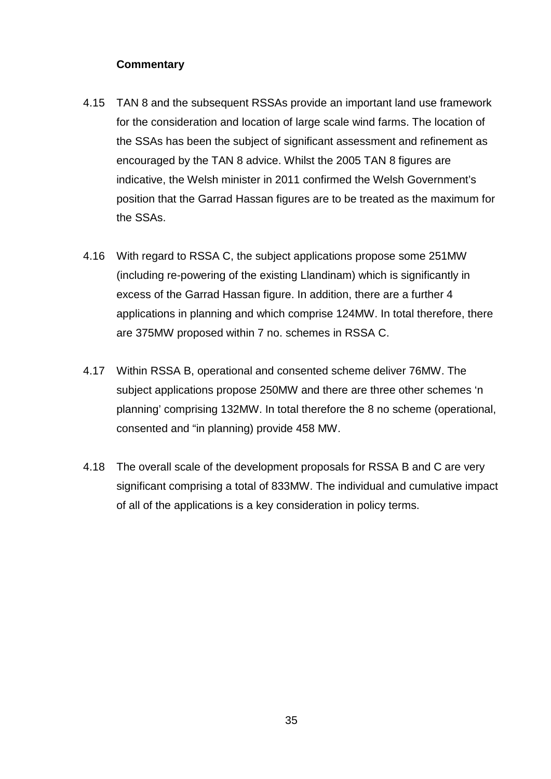# **Commentary**

- 4.15 TAN 8 and the subsequent RSSAs provide an important land use framework for the consideration and location of large scale wind farms. The location of the SSAs has been the subject of significant assessment and refinement as encouraged by the TAN 8 advice. Whilst the 2005 TAN 8 figures are indicative, the Welsh minister in 2011 confirmed the Welsh Government's position that the Garrad Hassan figures are to be treated as the maximum for the SSAs.
- 4.16 With regard to RSSA C, the subject applications propose some 251MW (including re-powering of the existing Llandinam) which is significantly in excess of the Garrad Hassan figure. In addition, there are a further 4 applications in planning and which comprise 124MW. In total therefore, there are 375MW proposed within 7 no. schemes in RSSA C.
- 4.17 Within RSSA B, operational and consented scheme deliver 76MW. The subject applications propose 250MW and there are three other schemes 'n planning' comprising 132MW. In total therefore the 8 no scheme (operational, consented and "in planning) provide 458 MW.
- 4.18 The overall scale of the development proposals for RSSA B and C are very significant comprising a total of 833MW. The individual and cumulative impact of all of the applications is a key consideration in policy terms.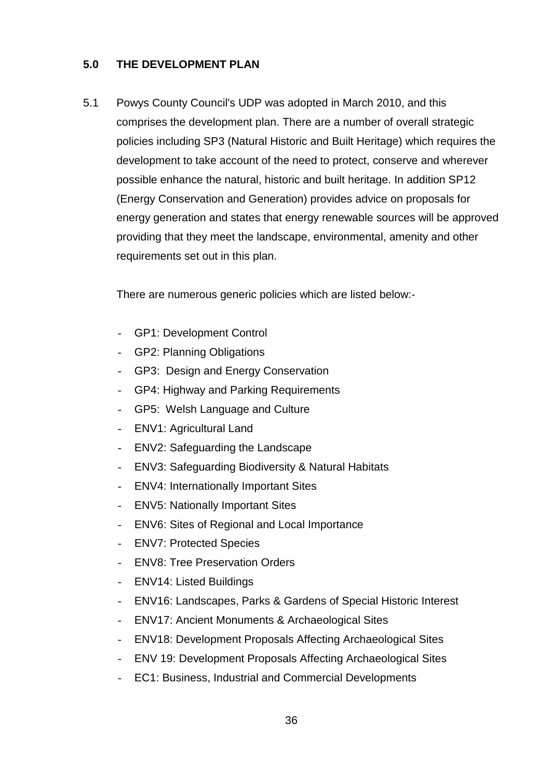# **5.0 THE DEVELOPMENT PLAN**

5.1 Powys County Council's UDP was adopted in March 2010, and this comprises the development plan. There are a number of overall strategic policies including SP3 (Natural Historic and Built Heritage) which requires the development to take account of the need to protect, conserve and wherever possible enhance the natural, historic and built heritage. In addition SP12 (Energy Conservation and Generation) provides advice on proposals for energy generation and states that energy renewable sources will be approved providing that they meet the landscape, environmental, amenity and other requirements set out in this plan.

There are numerous generic policies which are listed below:-

- GP1: Development Control
- GP2: Planning Obligations
- GP3: Design and Energy Conservation
- GP4: Highway and Parking Requirements
- GP5: Welsh Language and Culture
- ENV1: Agricultural Land
- ENV2: Safeguarding the Landscape
- ENV3: Safeguarding Biodiversity & Natural Habitats
- ENV4: Internationally Important Sites
- ENV5: Nationally Important Sites
- ENV6: Sites of Regional and Local Importance
- ENV7: Protected Species
- ENV8: Tree Preservation Orders
- ENV14: Listed Buildings
- ENV16: Landscapes, Parks & Gardens of Special Historic Interest
- ENV17: Ancient Monuments & Archaeological Sites
- ENV18: Development Proposals Affecting Archaeological Sites
- ENV 19: Development Proposals Affecting Archaeological Sites
- EC1: Business, Industrial and Commercial Developments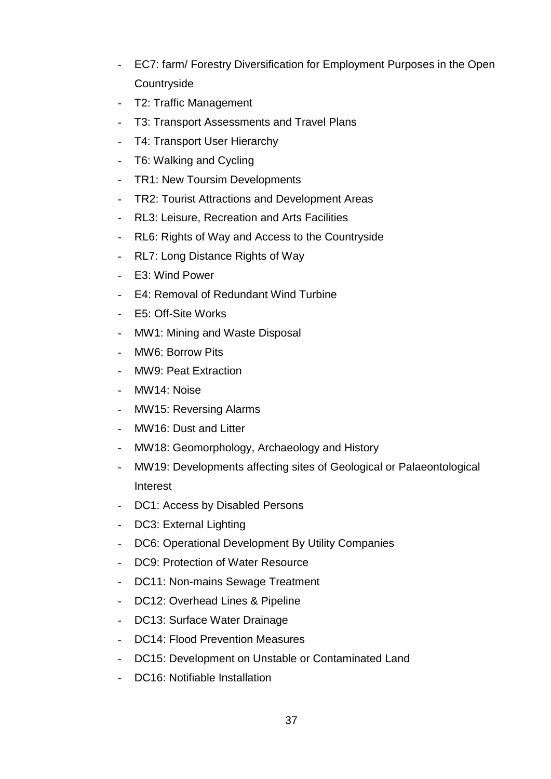- EC7: farm/ Forestry Diversification for Employment Purposes in the Open **Countryside**
- T2: Traffic Management
- T3: Transport Assessments and Travel Plans
- T4: Transport User Hierarchy
- T6: Walking and Cycling
- TR1: New Toursim Developments
- TR2: Tourist Attractions and Development Areas
- RL3: Leisure, Recreation and Arts Facilities
- RL6: Rights of Way and Access to the Countryside
- RL7: Long Distance Rights of Way
- E3: Wind Power
- E4: Removal of Redundant Wind Turbine
- E5: Off-Site Works
- MW1: Mining and Waste Disposal
- MW6: Borrow Pits
- MW9: Peat Extraction
- MW14: Noise
- MW15: Reversing Alarms
- MW16: Dust and Litter
- MW18: Geomorphology, Archaeology and History
- MW19: Developments affecting sites of Geological or Palaeontological Interest
- DC1: Access by Disabled Persons
- DC3: External Lighting
- DC6: Operational Development By Utility Companies
- DC9: Protection of Water Resource
- DC11: Non-mains Sewage Treatment
- DC12: Overhead Lines & Pipeline
- DC13: Surface Water Drainage
- DC14: Flood Prevention Measures
- DC15: Development on Unstable or Contaminated Land
- DC16: Notifiable Installation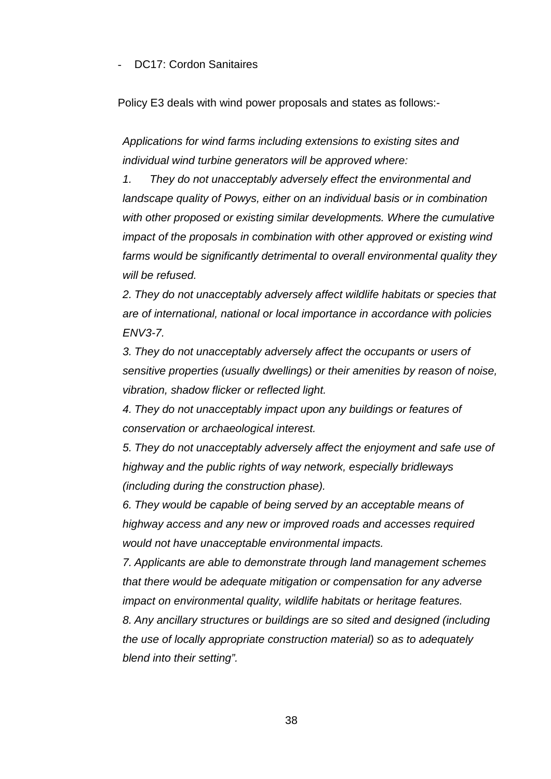#### DC17: Cordon Sanitaires

Policy E3 deals with wind power proposals and states as follows:-

*Applications for wind farms including extensions to existing sites and individual wind turbine generators will be approved where:*

*1. They do not unacceptably adversely effect the environmental and landscape quality of Powys, either on an individual basis or in combination with other proposed or existing similar developments. Where the cumulative impact of the proposals in combination with other approved or existing wind farms would be significantly detrimental to overall environmental quality they will be refused.*

*2. They do not unacceptably adversely affect wildlife habitats or species that are of international, national or local importance in accordance with policies ENV3-7.*

*3. They do not unacceptably adversely affect the occupants or users of sensitive properties (usually dwellings) or their amenities by reason of noise, vibration, shadow flicker or reflected light.*

*4. They do not unacceptably impact upon any buildings or features of conservation or archaeological interest.*

*5. They do not unacceptably adversely affect the enjoyment and safe use of highway and the public rights of way network, especially bridleways (including during the construction phase).*

*6. They would be capable of being served by an acceptable means of highway access and any new or improved roads and accesses required would not have unacceptable environmental impacts.*

*7. Applicants are able to demonstrate through land management schemes that there would be adequate mitigation or compensation for any adverse impact on environmental quality, wildlife habitats or heritage features. 8. Any ancillary structures or buildings are so sited and designed (including the use of locally appropriate construction material) so as to adequately blend into their setting".*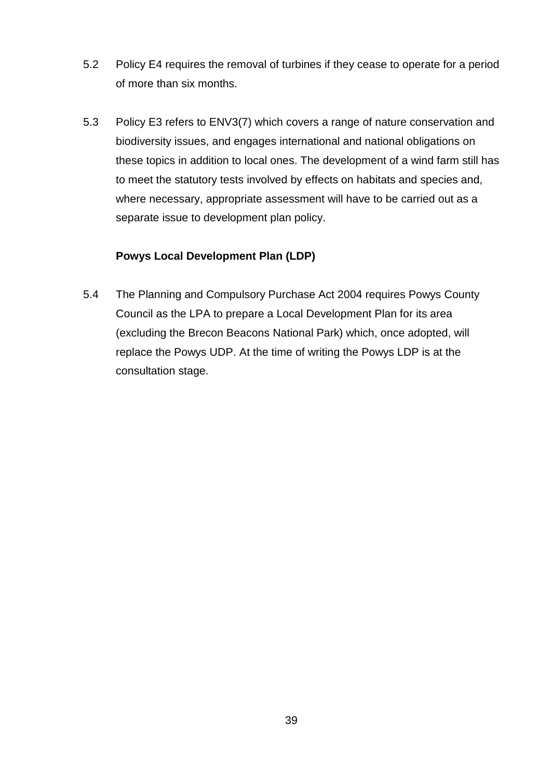- 5.2 Policy E4 requires the removal of turbines if they cease to operate for a period of more than six months.
- 5.3 Policy E3 refers to ENV3(7) which covers a range of nature conservation and biodiversity issues, and engages international and national obligations on these topics in addition to local ones. The development of a wind farm still has to meet the statutory tests involved by effects on habitats and species and, where necessary, appropriate assessment will have to be carried out as a separate issue to development plan policy.

# **Powys Local Development Plan (LDP)**

5.4 The Planning and Compulsory Purchase Act 2004 requires Powys County Council as the LPA to prepare a Local Development Plan for its area (excluding the Brecon Beacons National Park) which, once adopted, will replace the Powys UDP. At the time of writing the Powys LDP is at the consultation stage.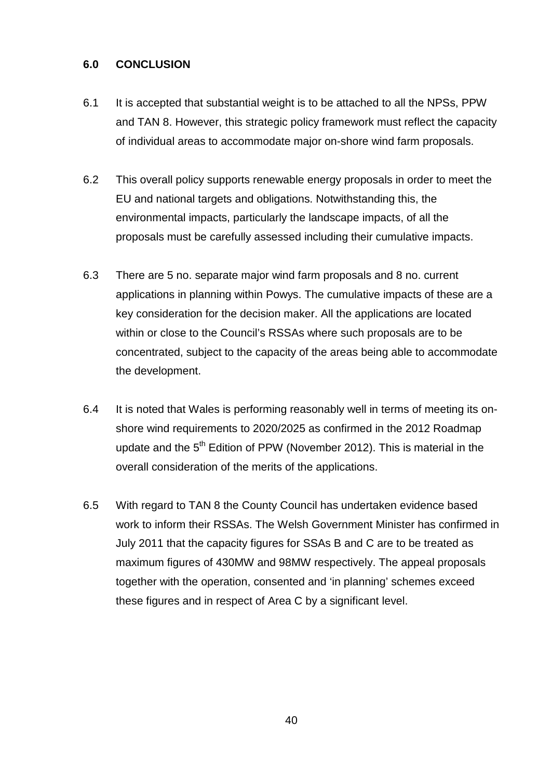### **6.0 CONCLUSION**

- 6.1 It is accepted that substantial weight is to be attached to all the NPSs, PPW and TAN 8. However, this strategic policy framework must reflect the capacity of individual areas to accommodate major on-shore wind farm proposals.
- 6.2 This overall policy supports renewable energy proposals in order to meet the EU and national targets and obligations. Notwithstanding this, the environmental impacts, particularly the landscape impacts, of all the proposals must be carefully assessed including their cumulative impacts.
- 6.3 There are 5 no. separate major wind farm proposals and 8 no. current applications in planning within Powys. The cumulative impacts of these are a key consideration for the decision maker. All the applications are located within or close to the Council's RSSAs where such proposals are to be concentrated, subject to the capacity of the areas being able to accommodate the development.
- 6.4 It is noted that Wales is performing reasonably well in terms of meeting its onshore wind requirements to 2020/2025 as confirmed in the 2012 Roadmap update and the  $5<sup>th</sup>$  Edition of PPW (November 2012). This is material in the overall consideration of the merits of the applications.
- 6.5 With regard to TAN 8 the County Council has undertaken evidence based work to inform their RSSAs. The Welsh Government Minister has confirmed in July 2011 that the capacity figures for SSAs B and C are to be treated as maximum figures of 430MW and 98MW respectively. The appeal proposals together with the operation, consented and 'in planning' schemes exceed these figures and in respect of Area C by a significant level.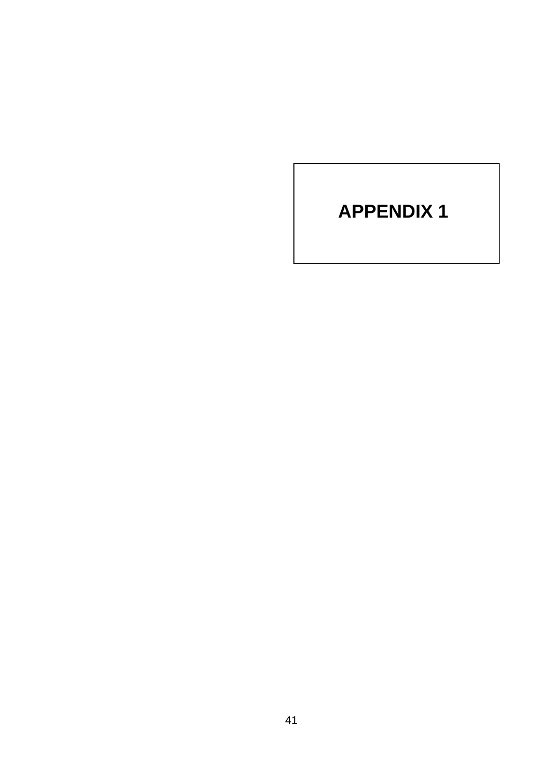# **APPENDIX 1**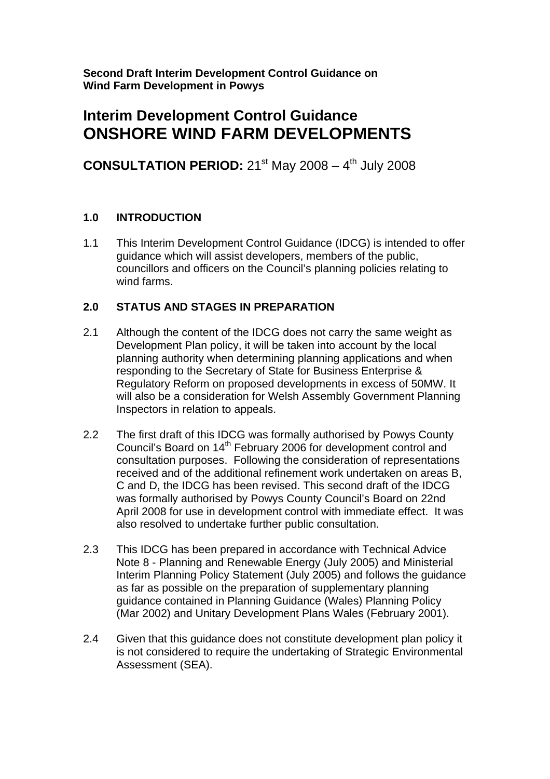**Second Draft Interim Development Control Guidance on Wind Farm Development in Powys** 

# **Interim Development Control Guidance ONSHORE WIND FARM DEVELOPMENTS**

**CONSULTATION PERIOD:**  $21^{st}$  May  $2008 - 4^{th}$  July 2008

# **1.0 INTRODUCTION**

1.1 This Interim Development Control Guidance (IDCG) is intended to offer guidance which will assist developers, members of the public, councillors and officers on the Council's planning policies relating to wind farms.

# **2.0 STATUS AND STAGES IN PREPARATION**

- 2.1 Although the content of the IDCG does not carry the same weight as Development Plan policy, it will be taken into account by the local planning authority when determining planning applications and when responding to the Secretary of State for Business Enterprise & Regulatory Reform on proposed developments in excess of 50MW. It will also be a consideration for Welsh Assembly Government Planning Inspectors in relation to appeals.
- 2.2 The first draft of this IDCG was formally authorised by Powys County Council's Board on 14th February 2006 for development control and consultation purposes. Following the consideration of representations received and of the additional refinement work undertaken on areas B, C and D, the IDCG has been revised. This second draft of the IDCG was formally authorised by Powys County Council's Board on 22nd April 2008 for use in development control with immediate effect. It was also resolved to undertake further public consultation.
- 2.3 This IDCG has been prepared in accordance with Technical Advice Note 8 - Planning and Renewable Energy (July 2005) and Ministerial Interim Planning Policy Statement (July 2005) and follows the guidance as far as possible on the preparation of supplementary planning guidance contained in Planning Guidance (Wales) Planning Policy (Mar 2002) and Unitary Development Plans Wales (February 2001).
- 2.4 Given that this guidance does not constitute development plan policy it is not considered to require the undertaking of Strategic Environmental Assessment (SEA).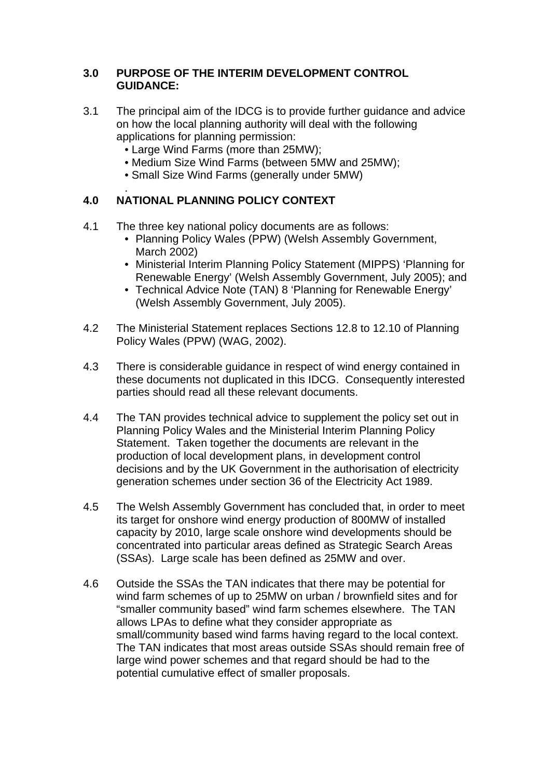#### **3.0 PURPOSE OF THE INTERIM DEVELOPMENT CONTROL GUIDANCE:**

- 3.1 The principal aim of the IDCG is to provide further guidance and advice on how the local planning authority will deal with the following applications for planning permission:
	- Large Wind Farms (more than 25MW);
	- Medium Size Wind Farms (between 5MW and 25MW);
	- Small Size Wind Farms (generally under 5MW)

#### . **4.0 NATIONAL PLANNING POLICY CONTEXT**

- 4.1 The three key national policy documents are as follows:
	- Planning Policy Wales (PPW) (Welsh Assembly Government, March 2002)
	- Ministerial Interim Planning Policy Statement (MIPPS) 'Planning for Renewable Energy' (Welsh Assembly Government, July 2005); and
	- Technical Advice Note (TAN) 8 'Planning for Renewable Energy' (Welsh Assembly Government, July 2005).
- 4.2 The Ministerial Statement replaces Sections 12.8 to 12.10 of Planning Policy Wales (PPW) (WAG, 2002).
- 4.3 There is considerable guidance in respect of wind energy contained in these documents not duplicated in this IDCG. Consequently interested parties should read all these relevant documents.
- 4.4 The TAN provides technical advice to supplement the policy set out in Planning Policy Wales and the Ministerial Interim Planning Policy Statement. Taken together the documents are relevant in the production of local development plans, in development control decisions and by the UK Government in the authorisation of electricity generation schemes under section 36 of the Electricity Act 1989.
- 4.5 The Welsh Assembly Government has concluded that, in order to meet its target for onshore wind energy production of 800MW of installed capacity by 2010, large scale onshore wind developments should be concentrated into particular areas defined as Strategic Search Areas (SSAs). Large scale has been defined as 25MW and over.
- 4.6 Outside the SSAs the TAN indicates that there may be potential for wind farm schemes of up to 25MW on urban / brownfield sites and for "smaller community based" wind farm schemes elsewhere. The TAN allows LPAs to define what they consider appropriate as small/community based wind farms having regard to the local context. The TAN indicates that most areas outside SSAs should remain free of large wind power schemes and that regard should be had to the potential cumulative effect of smaller proposals.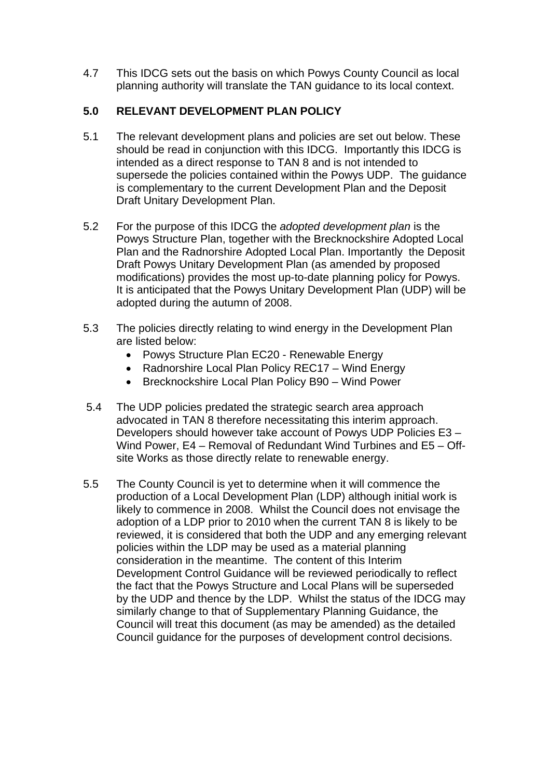4.7 This IDCG sets out the basis on which Powys County Council as local planning authority will translate the TAN guidance to its local context.

# **5.0 RELEVANT DEVELOPMENT PLAN POLICY**

- 5.1 The relevant development plans and policies are set out below. These should be read in conjunction with this IDCG. Importantly this IDCG is intended as a direct response to TAN 8 and is not intended to supersede the policies contained within the Powys UDP. The guidance is complementary to the current Development Plan and the Deposit Draft Unitary Development Plan.
- 5.2 For the purpose of this IDCG the *adopted development plan* is the Powys Structure Plan, together with the Brecknockshire Adopted Local Plan and the Radnorshire Adopted Local Plan. Importantly the Deposit Draft Powys Unitary Development Plan (as amended by proposed modifications) provides the most up-to-date planning policy for Powys. It is anticipated that the Powys Unitary Development Plan (UDP) will be adopted during the autumn of 2008.
- 5.3 The policies directly relating to wind energy in the Development Plan are listed below:
	- Powys Structure Plan EC20 Renewable Energy
	- Radnorshire Local Plan Policy REC17 Wind Energy
	- Brecknockshire Local Plan Policy B90 Wind Power
- 5.4 The UDP policies predated the strategic search area approach advocated in TAN 8 therefore necessitating this interim approach. Developers should however take account of Powys UDP Policies E3 – Wind Power, E4 – Removal of Redundant Wind Turbines and E5 – Offsite Works as those directly relate to renewable energy.
- 5.5 The County Council is yet to determine when it will commence the production of a Local Development Plan (LDP) although initial work is likely to commence in 2008. Whilst the Council does not envisage the adoption of a LDP prior to 2010 when the current TAN 8 is likely to be reviewed, it is considered that both the UDP and any emerging relevant policies within the LDP may be used as a material planning consideration in the meantime. The content of this Interim Development Control Guidance will be reviewed periodically to reflect the fact that the Powys Structure and Local Plans will be superseded by the UDP and thence by the LDP. Whilst the status of the IDCG may similarly change to that of Supplementary Planning Guidance, the Council will treat this document (as may be amended) as the detailed Council guidance for the purposes of development control decisions.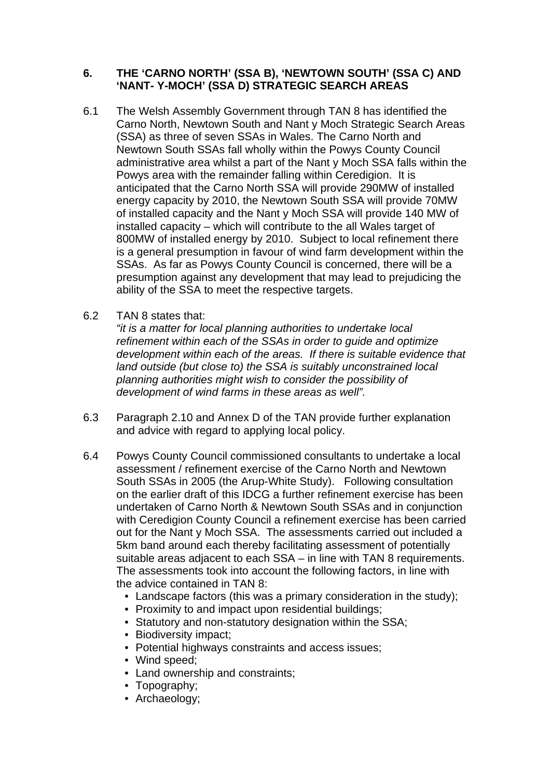#### **6. THE 'CARNO NORTH' (SSA B), 'NEWTOWN SOUTH' (SSA C) AND 'NANT- Y-MOCH' (SSA D) STRATEGIC SEARCH AREAS**

- 6.1 The Welsh Assembly Government through TAN 8 has identified the Carno North, Newtown South and Nant y Moch Strategic Search Areas (SSA) as three of seven SSAs in Wales. The Carno North and Newtown South SSAs fall wholly within the Powys County Council administrative area whilst a part of the Nant y Moch SSA falls within the Powys area with the remainder falling within Ceredigion. It is anticipated that the Carno North SSA will provide 290MW of installed energy capacity by 2010, the Newtown South SSA will provide 70MW of installed capacity and the Nant y Moch SSA will provide 140 MW of installed capacity – which will contribute to the all Wales target of 800MW of installed energy by 2010. Subject to local refinement there is a general presumption in favour of wind farm development within the SSAs. As far as Powys County Council is concerned, there will be a presumption against any development that may lead to prejudicing the ability of the SSA to meet the respective targets.
- 6.2 TAN 8 states that:

*"it is a matter for local planning authorities to undertake local refinement within each of the SSAs in order to guide and optimize development within each of the areas. If there is suitable evidence that land outside (but close to) the SSA is suitably unconstrained local planning authorities might wish to consider the possibility of development of wind farms in these areas as well".* 

- 6.3 Paragraph 2.10 and Annex D of the TAN provide further explanation and advice with regard to applying local policy.
- 6.4 Powys County Council commissioned consultants to undertake a local assessment / refinement exercise of the Carno North and Newtown South SSAs in 2005 (the Arup-White Study). Following consultation on the earlier draft of this IDCG a further refinement exercise has been undertaken of Carno North & Newtown South SSAs and in conjunction with Ceredigion County Council a refinement exercise has been carried out for the Nant y Moch SSA. The assessments carried out included a 5km band around each thereby facilitating assessment of potentially suitable areas adjacent to each SSA – in line with TAN 8 requirements. The assessments took into account the following factors, in line with the advice contained in TAN 8:
	- Landscape factors (this was a primary consideration in the study);
	- Proximity to and impact upon residential buildings;
	- Statutory and non-statutory designation within the SSA;
	- Biodiversity impact;
	- Potential highways constraints and access issues;
	- Wind speed:
	- Land ownership and constraints;
	- Topography;
	- Archaeology;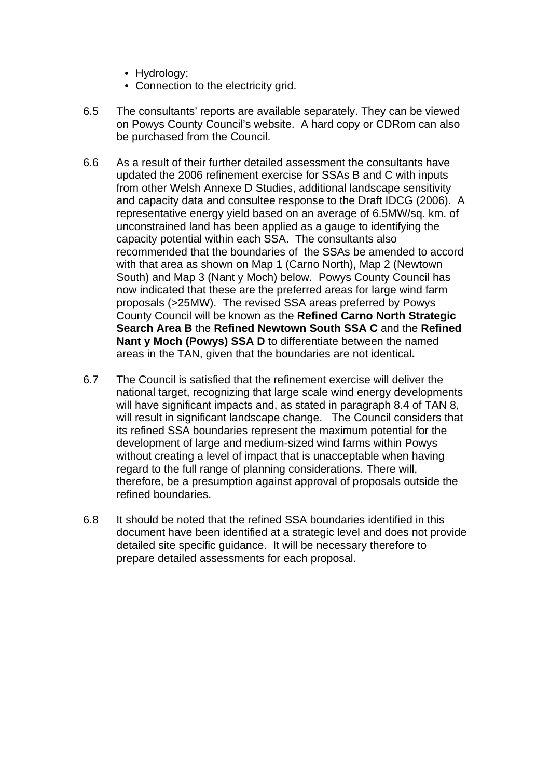- Hydrology;
- Connection to the electricity grid.
- 6.5 The consultants' reports are available separately. They can be viewed on Powys County Council's website. A hard copy or CDRom can also be purchased from the Council.
- 6.6 As a result of their further detailed assessment the consultants have updated the 2006 refinement exercise for SSAs B and C with inputs from other Welsh Annexe D Studies, additional landscape sensitivity and capacity data and consultee response to the Draft IDCG (2006). A representative energy yield based on an average of 6.5MW/sq. km. of unconstrained land has been applied as a gauge to identifying the capacity potential within each SSA. The consultants also recommended that the boundaries of the SSAs be amended to accord with that area as shown on Map 1 (Carno North), Map 2 (Newtown South) and Map 3 (Nant y Moch) below. Powys County Council has now indicated that these are the preferred areas for large wind farm proposals (>25MW). The revised SSA areas preferred by Powys County Council will be known as the **Refined Carno North Strategic Search Area B** the **Refined Newtown South SSA C** and the **Refined Nant y Moch (Powys) SSA D** to differentiate between the named areas in the TAN, given that the boundaries are not identical**.**
- 6.7 The Council is satisfied that the refinement exercise will deliver the national target, recognizing that large scale wind energy developments will have significant impacts and, as stated in paragraph 8.4 of TAN 8, will result in significant landscape change. The Council considers that its refined SSA boundaries represent the maximum potential for the development of large and medium-sized wind farms within Powys without creating a level of impact that is unacceptable when having regard to the full range of planning considerations. There will, therefore, be a presumption against approval of proposals outside the refined boundaries.
- 6.8 It should be noted that the refined SSA boundaries identified in this document have been identified at a strategic level and does not provide detailed site specific guidance. It will be necessary therefore to prepare detailed assessments for each proposal.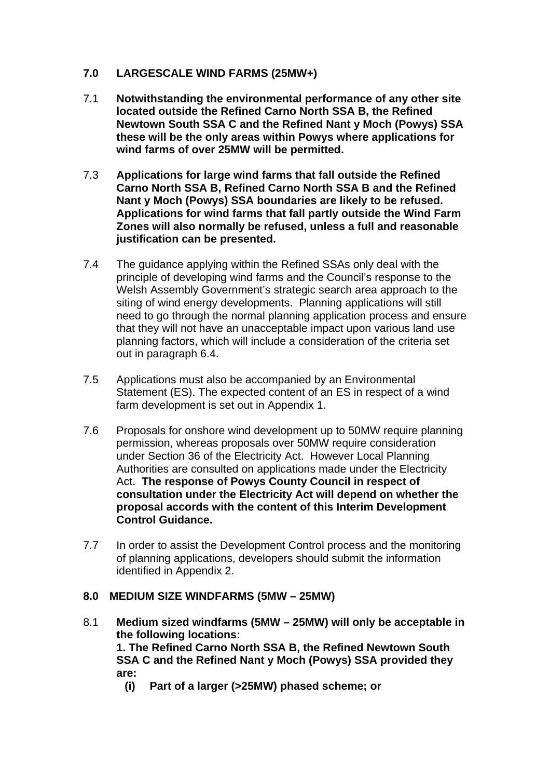# **7.0 LARGESCALE WIND FARMS (25MW+)**

- 7.1 **Notwithstanding the environmental performance of any other site located outside the Refined Carno North SSA B, the Refined Newtown South SSA C and the Refined Nant y Moch (Powys) SSA these will be the only areas within Powys where applications for wind farms of over 25MW will be permitted.**
- 7.3 **Applications for large wind farms that fall outside the Refined Carno North SSA B, Refined Carno North SSA B and the Refined Nant y Moch (Powys) SSA boundaries are likely to be refused. Applications for wind farms that fall partly outside the Wind Farm Zones will also normally be refused, unless a full and reasonable justification can be presented.**
- 7.4 The guidance applying within the Refined SSAs only deal with the principle of developing wind farms and the Council's response to the Welsh Assembly Government's strategic search area approach to the siting of wind energy developments. Planning applications will still need to go through the normal planning application process and ensure that they will not have an unacceptable impact upon various land use planning factors, which will include a consideration of the criteria set out in paragraph 6.4.
- 7.5 Applications must also be accompanied by an Environmental Statement (ES). The expected content of an ES in respect of a wind farm development is set out in Appendix 1.
- 7.6 Proposals for onshore wind development up to 50MW require planning permission, whereas proposals over 50MW require consideration under Section 36 of the Electricity Act. However Local Planning Authorities are consulted on applications made under the Electricity Act. **The response of Powys County Council in respect of consultation under the Electricity Act will depend on whether the proposal accords with the content of this Interim Development Control Guidance.**
- 7.7 In order to assist the Development Control process and the monitoring of planning applications, developers should submit the information identified in Appendix 2.

# **8.0 MEDIUM SIZE WINDFARMS (5MW – 25MW)**

8.1 **Medium sized windfarms (5MW – 25MW) will only be acceptable in the following locations:** 

**1. The Refined Carno North SSA B, the Refined Newtown South SSA C and the Refined Nant y Moch (Powys) SSA provided they are:** 

**(i) Part of a larger (>25MW) phased scheme; or**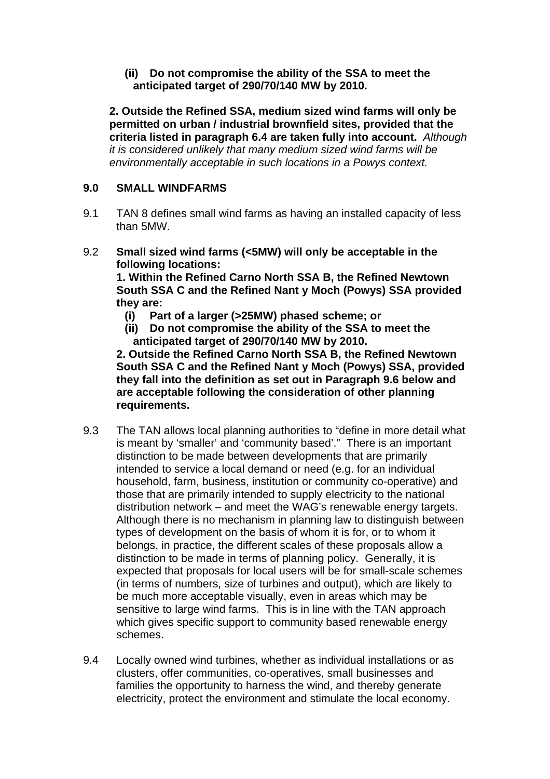**(ii) Do not compromise the ability of the SSA to meet the anticipated target of 290/70/140 MW by 2010.**

**2. Outside the Refined SSA, medium sized wind farms will only be permitted on urban / industrial brownfield sites, provided that the criteria listed in paragraph 6.4 are taken fully into account.** *Although it is considered unlikely that many medium sized wind farms will be environmentally acceptable in such locations in a Powys context.*

#### **9.0 SMALL WINDFARMS**

- 9.1 TAN 8 defines small wind farms as having an installed capacity of less than 5MW.
- 9.2 **Small sized wind farms (<5MW) will only be acceptable in the following locations:**

**1. Within the Refined Carno North SSA B, the Refined Newtown South SSA C and the Refined Nant y Moch (Powys) SSA provided they are:** 

- **(i) Part of a larger (>25MW) phased scheme; or**
- **(ii) Do not compromise the ability of the SSA to meet the anticipated target of 290/70/140 MW by 2010.**

**2. Outside the Refined Carno North SSA B, the Refined Newtown South SSA C and the Refined Nant y Moch (Powys) SSA, provided they fall into the definition as set out in Paragraph 9.6 below and are acceptable following the consideration of other planning requirements.** 

- 9.3 The TAN allows local planning authorities to "define in more detail what is meant by 'smaller' and 'community based'." There is an important distinction to be made between developments that are primarily intended to service a local demand or need (e.g. for an individual household, farm, business, institution or community co-operative) and those that are primarily intended to supply electricity to the national distribution network – and meet the WAG's renewable energy targets. Although there is no mechanism in planning law to distinguish between types of development on the basis of whom it is for, or to whom it belongs, in practice, the different scales of these proposals allow a distinction to be made in terms of planning policy. Generally, it is expected that proposals for local users will be for small-scale schemes (in terms of numbers, size of turbines and output), which are likely to be much more acceptable visually, even in areas which may be sensitive to large wind farms. This is in line with the TAN approach which gives specific support to community based renewable energy schemes.
- 9.4 Locally owned wind turbines, whether as individual installations or as clusters, offer communities, co-operatives, small businesses and families the opportunity to harness the wind, and thereby generate electricity, protect the environment and stimulate the local economy.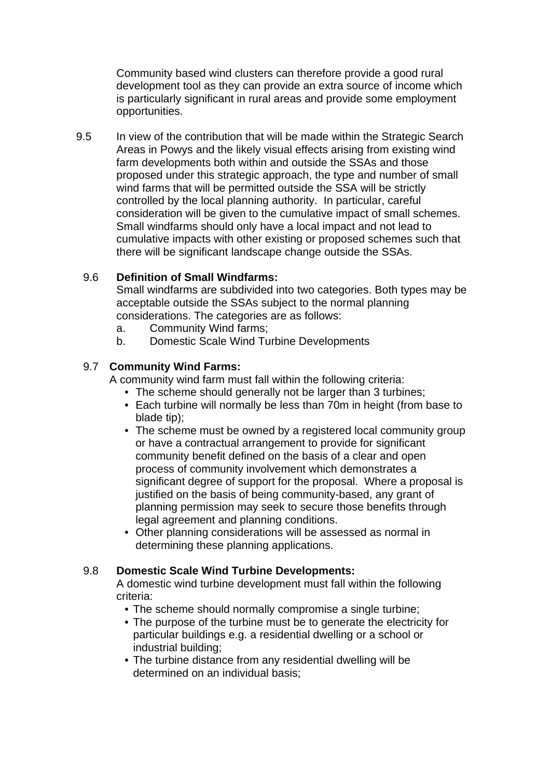Community based wind clusters can therefore provide a good rural development tool as they can provide an extra source of income which is particularly significant in rural areas and provide some employment opportunities.

9.5 In view of the contribution that will be made within the Strategic Search Areas in Powys and the likely visual effects arising from existing wind farm developments both within and outside the SSAs and those proposed under this strategic approach, the type and number of small wind farms that will be permitted outside the SSA will be strictly controlled by the local planning authority. In particular, careful consideration will be given to the cumulative impact of small schemes. Small windfarms should only have a local impact and not lead to cumulative impacts with other existing or proposed schemes such that there will be significant landscape change outside the SSAs.

#### 9.6 **Definition of Small Windfarms:**

Small windfarms are subdivided into two categories. Both types may be acceptable outside the SSAs subject to the normal planning considerations. The categories are as follows:

- a. Community Wind farms;
- b. Domestic Scale Wind Turbine Developments

#### 9.7 **Community Wind Farms:**

A community wind farm must fall within the following criteria:

- The scheme should generally not be larger than 3 turbines;
- Each turbine will normally be less than 70m in height (from base to blade tip);
- The scheme must be owned by a registered local community group or have a contractual arrangement to provide for significant community benefit defined on the basis of a clear and open process of community involvement which demonstrates a significant degree of support for the proposal. Where a proposal is justified on the basis of being community-based, any grant of planning permission may seek to secure those benefits through legal agreement and planning conditions.
- Other planning considerations will be assessed as normal in determining these planning applications.

#### 9.8 **Domestic Scale Wind Turbine Developments:**

 A domestic wind turbine development must fall within the following criteria:

- The scheme should normally compromise a single turbine;
- The purpose of the turbine must be to generate the electricity for particular buildings e.g. a residential dwelling or a school or industrial building;
- The turbine distance from any residential dwelling will be determined on an individual basis;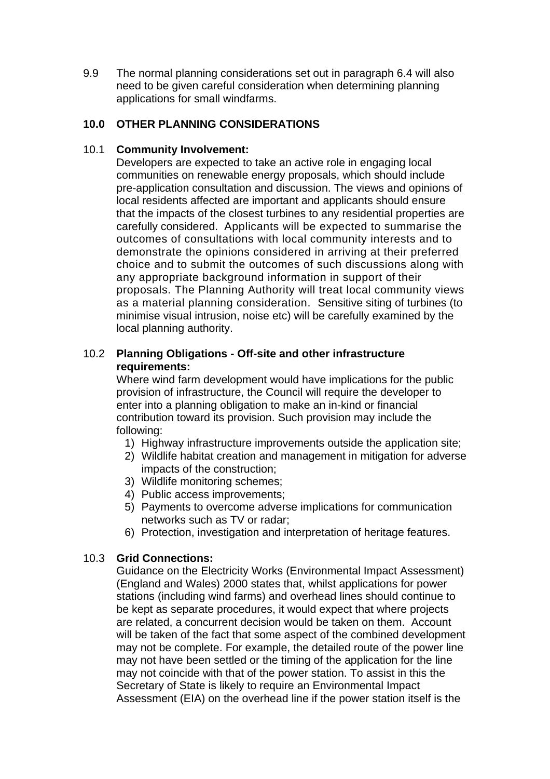9.9 The normal planning considerations set out in paragraph 6.4 will also need to be given careful consideration when determining planning applications for small windfarms.

# **10.0 OTHER PLANNING CONSIDERATIONS**

#### 10.1 **Community Involvement:**

 Developers are expected to take an active role in engaging local communities on renewable energy proposals, which should include pre-application consultation and discussion. The views and opinions of local residents affected are important and applicants should ensure that the impacts of the closest turbines to any residential properties are carefully considered. Applicants will be expected to summarise the outcomes of consultations with local community interests and to demonstrate the opinions considered in arriving at their preferred choice and to submit the outcomes of such discussions along with any appropriate background information in support of their proposals. The Planning Authority will treat local community views as a material planning consideration. Sensitive siting of turbines (to minimise visual intrusion, noise etc) will be carefully examined by the local planning authority.

#### 10.2 **Planning Obligations - Off-site and other infrastructure requirements:**

 Where wind farm development would have implications for the public provision of infrastructure, the Council will require the developer to enter into a planning obligation to make an in-kind or financial contribution toward its provision. Such provision may include the following:

- 1) Highway infrastructure improvements outside the application site;
- 2) Wildlife habitat creation and management in mitigation for adverse impacts of the construction;
- 3) Wildlife monitoring schemes;
- 4) Public access improvements;
- 5) Payments to overcome adverse implications for communication networks such as TV or radar;
- 6) Protection, investigation and interpretation of heritage features.

# 10.3 **Grid Connections:**

Guidance on the Electricity Works (Environmental Impact Assessment) (England and Wales) 2000 states that, whilst applications for power stations (including wind farms) and overhead lines should continue to be kept as separate procedures, it would expect that where projects are related, a concurrent decision would be taken on them. Account will be taken of the fact that some aspect of the combined development may not be complete. For example, the detailed route of the power line may not have been settled or the timing of the application for the line may not coincide with that of the power station. To assist in this the Secretary of State is likely to require an Environmental Impact Assessment (EIA) on the overhead line if the power station itself is the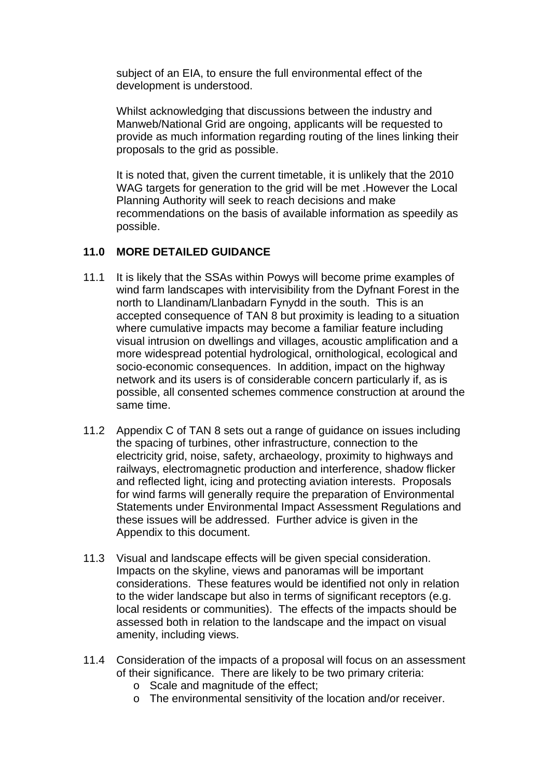subject of an EIA, to ensure the full environmental effect of the development is understood.

Whilst acknowledging that discussions between the industry and Manweb/National Grid are ongoing, applicants will be requested to provide as much information regarding routing of the lines linking their proposals to the grid as possible.

It is noted that, given the current timetable, it is unlikely that the 2010 WAG targets for generation to the grid will be met . However the Local Planning Authority will seek to reach decisions and make recommendations on the basis of available information as speedily as possible.

#### **11.0 MORE DETAILED GUIDANCE**

- 11.1 It is likely that the SSAs within Powys will become prime examples of wind farm landscapes with intervisibility from the Dyfnant Forest in the north to Llandinam/Llanbadarn Fynydd in the south. This is an accepted consequence of TAN 8 but proximity is leading to a situation where cumulative impacts may become a familiar feature including visual intrusion on dwellings and villages, acoustic amplification and a more widespread potential hydrological, ornithological, ecological and socio-economic consequences. In addition, impact on the highway network and its users is of considerable concern particularly if, as is possible, all consented schemes commence construction at around the same time.
- 11.2 Appendix C of TAN 8 sets out a range of guidance on issues including the spacing of turbines, other infrastructure, connection to the electricity grid, noise, safety, archaeology, proximity to highways and railways, electromagnetic production and interference, shadow flicker and reflected light, icing and protecting aviation interests. Proposals for wind farms will generally require the preparation of Environmental Statements under Environmental Impact Assessment Regulations and these issues will be addressed. Further advice is given in the Appendix to this document.
- 11.3 Visual and landscape effects will be given special consideration. Impacts on the skyline, views and panoramas will be important considerations. These features would be identified not only in relation to the wider landscape but also in terms of significant receptors (e.g. local residents or communities). The effects of the impacts should be assessed both in relation to the landscape and the impact on visual amenity, including views.
- 11.4 Consideration of the impacts of a proposal will focus on an assessment of their significance. There are likely to be two primary criteria:
	- o Scale and magnitude of the effect;
	- o The environmental sensitivity of the location and/or receiver.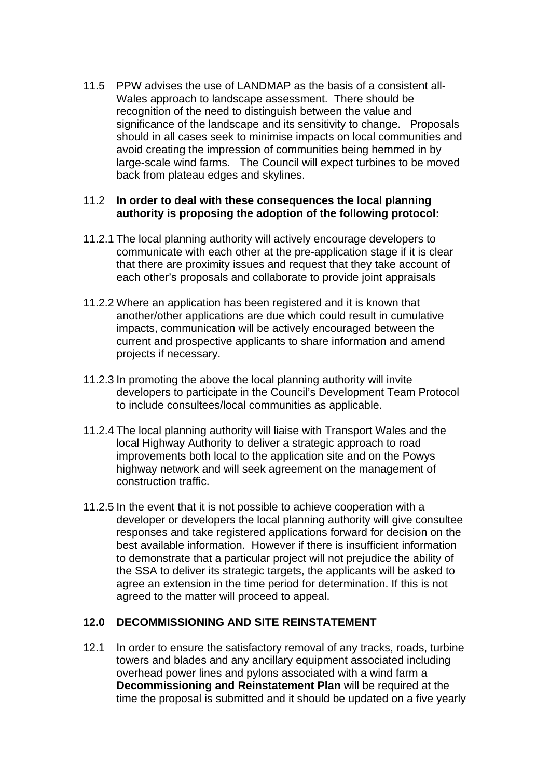11.5 PPW advises the use of LANDMAP as the basis of a consistent all-Wales approach to landscape assessment. There should be recognition of the need to distinguish between the value and significance of the landscape and its sensitivity to change. Proposals should in all cases seek to minimise impacts on local communities and avoid creating the impression of communities being hemmed in by large-scale wind farms. The Council will expect turbines to be moved back from plateau edges and skylines.

#### 11.2 **In order to deal with these consequences the local planning authority is proposing the adoption of the following protocol:**

- 11.2.1 The local planning authority will actively encourage developers to communicate with each other at the pre-application stage if it is clear that there are proximity issues and request that they take account of each other's proposals and collaborate to provide joint appraisals
- 11.2.2 Where an application has been registered and it is known that another/other applications are due which could result in cumulative impacts, communication will be actively encouraged between the current and prospective applicants to share information and amend projects if necessary.
- 11.2.3 In promoting the above the local planning authority will invite developers to participate in the Council's Development Team Protocol to include consultees/local communities as applicable.
- 11.2.4 The local planning authority will liaise with Transport Wales and the local Highway Authority to deliver a strategic approach to road improvements both local to the application site and on the Powys highway network and will seek agreement on the management of construction traffic.
- 11.2.5 In the event that it is not possible to achieve cooperation with a developer or developers the local planning authority will give consultee responses and take registered applications forward for decision on the best available information. However if there is insufficient information to demonstrate that a particular project will not prejudice the ability of the SSA to deliver its strategic targets, the applicants will be asked to agree an extension in the time period for determination. If this is not agreed to the matter will proceed to appeal.

#### **12.0 DECOMMISSIONING AND SITE REINSTATEMENT**

12.1 In order to ensure the satisfactory removal of any tracks, roads, turbine towers and blades and any ancillary equipment associated including overhead power lines and pylons associated with a wind farm a **Decommissioning and Reinstatement Plan** will be required at the time the proposal is submitted and it should be updated on a five yearly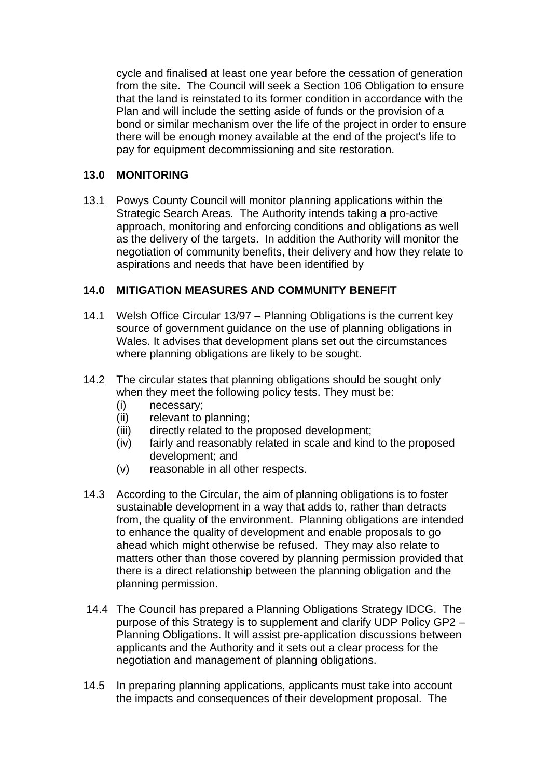cycle and finalised at least one year before the cessation of generation from the site. The Council will seek a Section 106 Obligation to ensure that the land is reinstated to its former condition in accordance with the Plan and will include the setting aside of funds or the provision of a bond or similar mechanism over the life of the project in order to ensure there will be enough money available at the end of the project's life to pay for equipment decommissioning and site restoration.

## **13.0 MONITORING**

13.1 Powys County Council will monitor planning applications within the Strategic Search Areas. The Authority intends taking a pro-active approach, monitoring and enforcing conditions and obligations as well as the delivery of the targets. In addition the Authority will monitor the negotiation of community benefits, their delivery and how they relate to aspirations and needs that have been identified by

# **14.0 MITIGATION MEASURES AND COMMUNITY BENEFIT**

- 14.1 Welsh Office Circular 13/97 Planning Obligations is the current key source of government guidance on the use of planning obligations in Wales. It advises that development plans set out the circumstances where planning obligations are likely to be sought.
- 14.2 The circular states that planning obligations should be sought only when they meet the following policy tests. They must be:
	- (i) necessary;
	- (ii) relevant to planning;
	- (iii) directly related to the proposed development;
	- (iv) fairly and reasonably related in scale and kind to the proposed development; and
	- (v) reasonable in all other respects.
- 14.3 According to the Circular, the aim of planning obligations is to foster sustainable development in a way that adds to, rather than detracts from, the quality of the environment. Planning obligations are intended to enhance the quality of development and enable proposals to go ahead which might otherwise be refused. They may also relate to matters other than those covered by planning permission provided that there is a direct relationship between the planning obligation and the planning permission.
- 14.4 The Council has prepared a Planning Obligations Strategy IDCG. The purpose of this Strategy is to supplement and clarify UDP Policy GP2 – Planning Obligations. It will assist pre-application discussions between applicants and the Authority and it sets out a clear process for the negotiation and management of planning obligations.
- 14.5 In preparing planning applications, applicants must take into account the impacts and consequences of their development proposal. The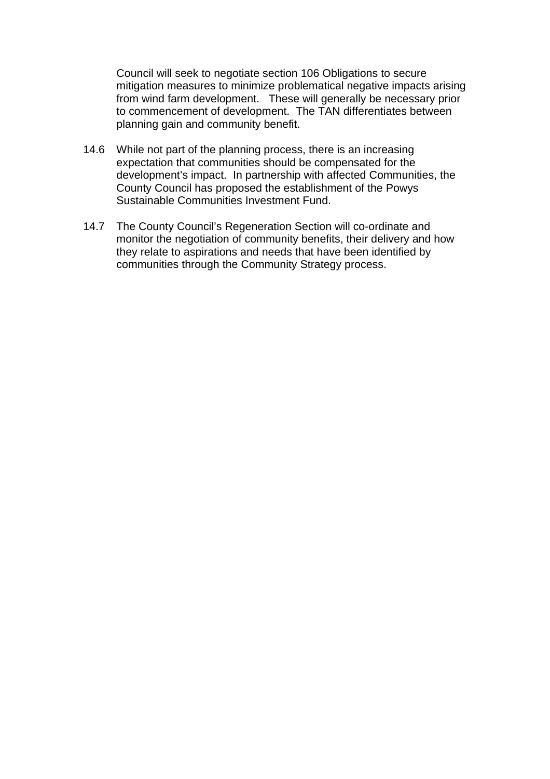Council will seek to negotiate section 106 Obligations to secure mitigation measures to minimize problematical negative impacts arising from wind farm development. These will generally be necessary prior to commencement of development. The TAN differentiates between planning gain and community benefit.

- 14.6 While not part of the planning process, there is an increasing expectation that communities should be compensated for the development's impact. In partnership with affected Communities, the County Council has proposed the establishment of the Powys Sustainable Communities Investment Fund.
- 14.7 The County Council's Regeneration Section will co-ordinate and monitor the negotiation of community benefits, their delivery and how they relate to aspirations and needs that have been identified by communities through the Community Strategy process.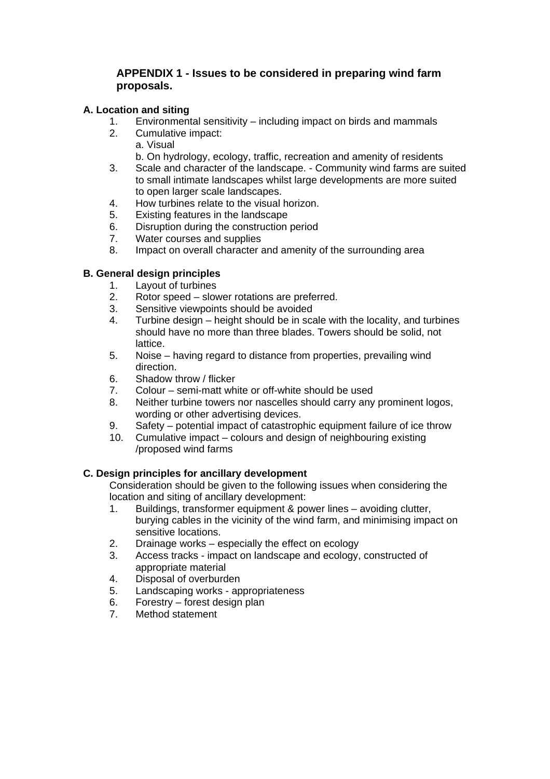#### **APPENDIX 1 - Issues to be considered in preparing wind farm proposals.**

#### **A. Location and siting**

- 1. Environmental sensitivity including impact on birds and mammals
- 2. Cumulative impact:
	- a. Visual
	- b. On hydrology, ecology, traffic, recreation and amenity of residents
- 3. Scale and character of the landscape. Community wind farms are suited to small intimate landscapes whilst large developments are more suited to open larger scale landscapes.
- 4. How turbines relate to the visual horizon.
- 5. Existing features in the landscape
- 6. Disruption during the construction period
- 7. Water courses and supplies
- 8. Impact on overall character and amenity of the surrounding area

#### **B. General design principles**

- 1. Layout of turbines
- 2. Rotor speed slower rotations are preferred.
- 3. Sensitive viewpoints should be avoided
- 4. Turbine design height should be in scale with the locality, and turbines should have no more than three blades. Towers should be solid, not **lattice**
- 5. Noise having regard to distance from properties, prevailing wind direction.
- 6. Shadow throw / flicker
- 7. Colour semi-matt white or off-white should be used
- 8. Neither turbine towers nor nascelles should carry any prominent logos, wording or other advertising devices.
- 9. Safety potential impact of catastrophic equipment failure of ice throw
- 10. Cumulative impact colours and design of neighbouring existing /proposed wind farms

#### **C. Design principles for ancillary development**

Consideration should be given to the following issues when considering the location and siting of ancillary development:

- 1. Buildings, transformer equipment & power lines avoiding clutter, burying cables in the vicinity of the wind farm, and minimising impact on sensitive locations.
- 2. Drainage works especially the effect on ecology
- 3. Access tracks impact on landscape and ecology, constructed of appropriate material
- 4. Disposal of overburden
- 5. Landscaping works appropriateness<br>6. Forestry forest design plan
- Forestry forest design plan
- 7. Method statement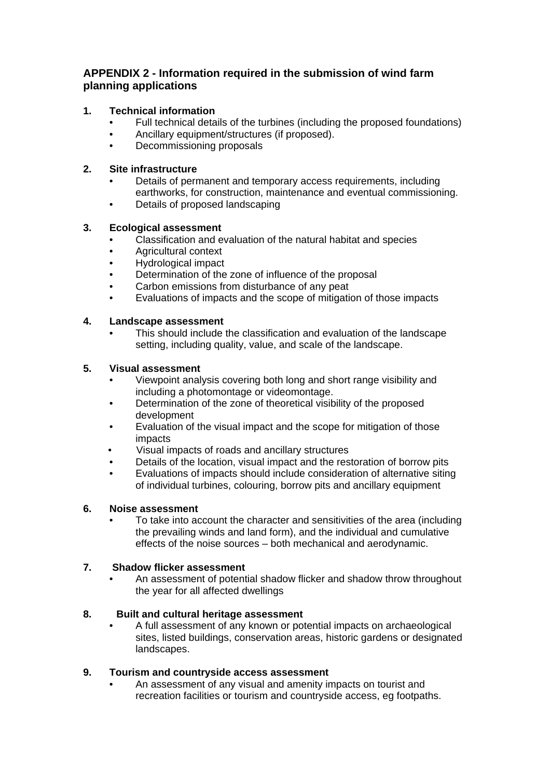#### **APPENDIX 2 - Information required in the submission of wind farm planning applications**

#### **1. Technical information**

- Full technical details of the turbines (including the proposed foundations)
- Ancillary equipment/structures (if proposed).
- Decommissioning proposals

#### **2. Site infrastructure**

- Details of permanent and temporary access requirements, including earthworks, for construction, maintenance and eventual commissioning.
- Details of proposed landscaping

#### **3. Ecological assessment**

- Classification and evaluation of the natural habitat and species
- Agricultural context
- Hydrological impact
- Determination of the zone of influence of the proposal
- Carbon emissions from disturbance of any peat
- Evaluations of impacts and the scope of mitigation of those impacts

#### **4. Landscape assessment**

• This should include the classification and evaluation of the landscape setting, including quality, value, and scale of the landscape.

#### **5. Visual assessment**

- Viewpoint analysis covering both long and short range visibility and including a photomontage or videomontage.
- Determination of the zone of theoretical visibility of the proposed development
- Evaluation of the visual impact and the scope for mitigation of those impacts
- Visual impacts of roads and ancillary structures
- Details of the location, visual impact and the restoration of borrow pits
- Evaluations of impacts should include consideration of alternative siting of individual turbines, colouring, borrow pits and ancillary equipment

#### **6. Noise assessment**

• To take into account the character and sensitivities of the area (including the prevailing winds and land form), and the individual and cumulative effects of the noise sources – both mechanical and aerodynamic.

#### **7. Shadow flicker assessment**

• An assessment of potential shadow flicker and shadow throw throughout the year for all affected dwellings

#### **8. Built and cultural heritage assessment**

• A full assessment of any known or potential impacts on archaeological sites, listed buildings, conservation areas, historic gardens or designated landscapes.

#### **9. Tourism and countryside access assessment**

• An assessment of any visual and amenity impacts on tourist and recreation facilities or tourism and countryside access, eg footpaths.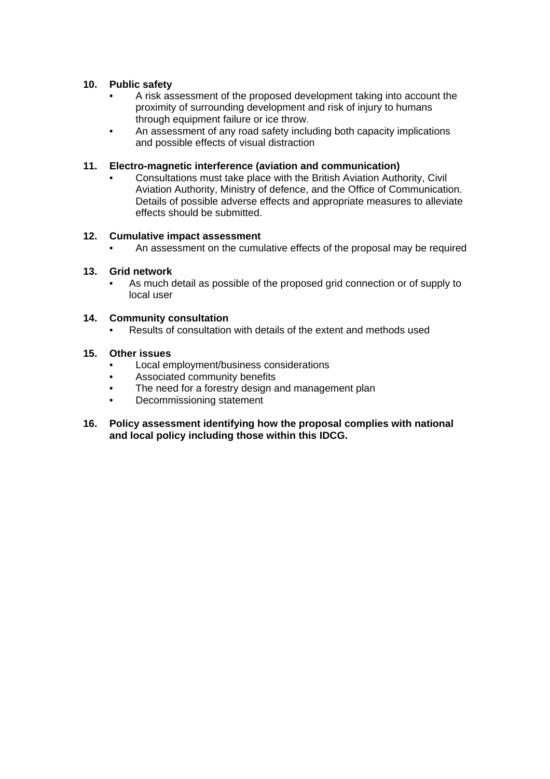#### **10. Public safety**

- A risk assessment of the proposed development taking into account the proximity of surrounding development and risk of injury to humans through equipment failure or ice throw.
- An assessment of any road safety including both capacity implications and possible effects of visual distraction

#### **11. Electro-magnetic interference (aviation and communication)**

• Consultations must take place with the British Aviation Authority, Civil Aviation Authority, Ministry of defence, and the Office of Communication. Details of possible adverse effects and appropriate measures to alleviate effects should be submitted.

#### **12. Cumulative impact assessment**

• An assessment on the cumulative effects of the proposal may be required

#### **13. Grid network**

• As much detail as possible of the proposed grid connection or of supply to local user

#### **14. Community consultation**

• Results of consultation with details of the extent and methods used

#### **15. Other issues**

- Local employment/business considerations
- Associated community benefits
- The need for a forestry design and management plan
- Decommissioning statement
- **16. Policy assessment identifying how the proposal complies with national and local policy including those within this IDCG.**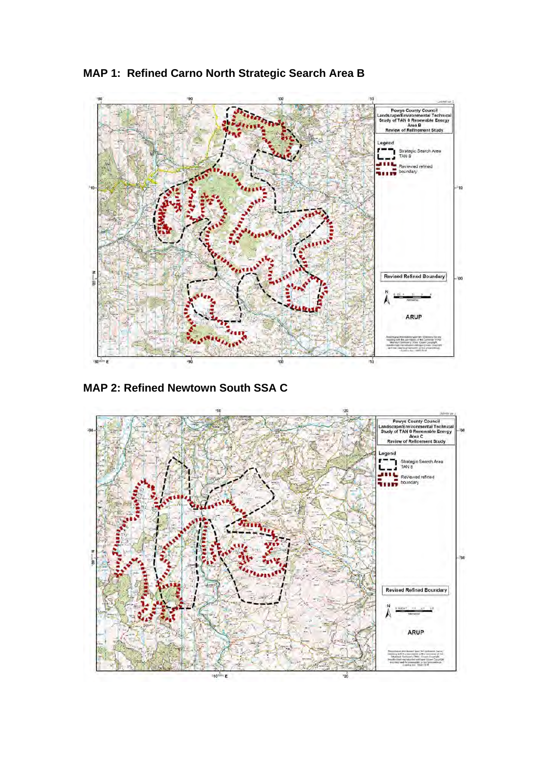

**MAP 1: Refined Carno North Strategic Search Area B** 

**MAP 2: Refined Newtown South SSA C**